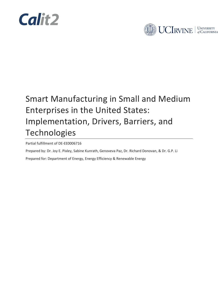



### Smart Manufacturing in Small and Medium Enterprises in the United States: Implementation, Drivers, Barriers, and Technologies

Partial fulfillment of DE-EE0006716

Prepared by: Dr. Joy E. Pixley, Sabine Kunrath, Genoveva Paz, Dr. Richard Donovan, & Dr. G.P. Li

Prepared for: Department of Energy, Energy Efficiency & Renewable Energy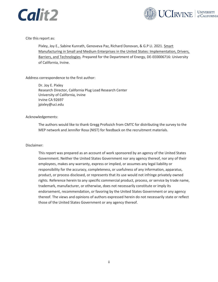



Cite this report as:

Pixley, Joy E., Sabine Kunrath, Genoveva Paz, Richard Donovan, & G.P LI. 2021. Smart Manufacturing in Small and Medium Enterprises in the United States: Implementation, Drivers, Barriers, and Technologies. Prepared for the Department of Energy, DE-EE0006716: University of California, Irvine.

Address correspondence to the first author:

Dr. Joy E. Pixley Research Director, California Plug Load Research Center University of California, Irvine Irvine CA 92697 jpixley@uci.edu

#### Acknowledgements:

The authors would like to thank Gregg Profozich from CMTC for distributing the survey to the MEP network and Jennifer Rosa (NIST) for feedback on the recruitment materials.

#### Disclaimer:

This report was prepared as an account of work sponsored by an agency of the United States Government. Neither the United States Government nor any agency thereof, nor any of their employees, makes any warranty, express or implied, or assumes any legal liability or responsibility for the accuracy, completeness, or usefulness of any information, apparatus, product, or process disclosed, or represents that its use would not infringe privately owned rights. Reference herein to any specific commercial product, process, or service by trade name, trademark, manufacturer, or otherwise, does not necessarily constitute or imply its endorsement, recommendation, or favoring by the United States Government or any agency thereof. The views and opinions of authors expressed herein do not necessarily state or reflect those of the United States Government or any agency thereof.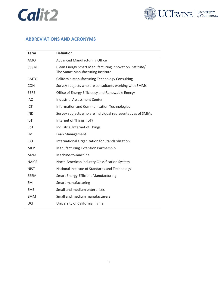



### <span id="page-2-0"></span>**ABBREVIATIONS AND ACRONYMS**

| <b>Definition</b>                                                                           |
|---------------------------------------------------------------------------------------------|
| <b>Advanced Manufacturing Office</b>                                                        |
| Clean Energy Smart Manufacturing Innovation Institute/<br>The Smart Manufacturing Institute |
| California Manufacturing Technology Consulting                                              |
| Survey subjects who are consultants working with SMMs                                       |
| Office of Energy Efficiency and Renewable Energy                                            |
| <b>Industrial Assessment Center</b>                                                         |
| Information and Communication Technologies                                                  |
| Survey subjects who are individual representatives of SMMs                                  |
| Internet of Things (IoT)                                                                    |
| Industrial Internet of Things                                                               |
| Lean Management                                                                             |
| International Organization for Standardization                                              |
| Manufacturing Extension Partnership                                                         |
| Machine-to-machine                                                                          |
| North American Industry Classification System                                               |
| National Institute of Standards and Technology                                              |
| <b>Smart Energy-Efficient Manufacturing</b>                                                 |
| Smart manufacturing                                                                         |
| Small and medium enterprises                                                                |
| Small and medium manufacturers                                                              |
| University of California, Irvine                                                            |
|                                                                                             |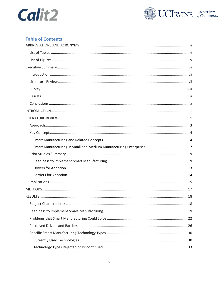



### **Table of Contents**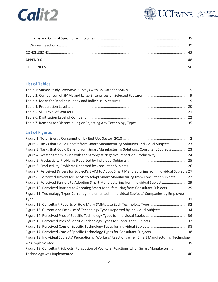



### <span id="page-4-0"></span>**List of Tables**

### <span id="page-4-1"></span>**List of Figures**

| Figure 2. Tasks that Could Benefit from Smart Manufacturing Solutions, Individual Subjects  23         |
|--------------------------------------------------------------------------------------------------------|
| Figure 3. Tasks that Could Benefit from Smart Manufacturing Solutions, Consultant Subjects  23         |
| Figure 4. Waste Stream Issues with the Strongest Negative Impact on Productivity 24                    |
|                                                                                                        |
|                                                                                                        |
| Figure 7. Perceived Drivers for Subject's SMM to Adopt Smart Manufacturing from Individual Subjects 27 |
| Figure 8. Perceived Drivers for SMMs to Adopt Smart Manufacturing from Consultant Subjects  27         |
| Figure 9. Perceived Barriers to Adopting Smart Manufacturing from Individual Subjects 29               |
| Figure 10. Perceived Barriers to Adopting Smart Manufacturing from Consultant Subjects 29              |
| Figure 11. Technology Types Currently Implemented in Individual Subjects' Companies by Employee        |
|                                                                                                        |
| Figure 12. Consultant Reports of How Many SMMs Use Each Technology Type32                              |
|                                                                                                        |
| Figure 13. Current and Past Use of Technology Types Reported by Individual Subjects 34                 |
|                                                                                                        |
| Figure 15. Perceived Pros of Specific Technology Types for Consultant Subjects37                       |
|                                                                                                        |
| Figure 17. Perceived Cons of Specific Technology Types for Consultant Subjects 38                      |
| Figure 18. Individual Subjects' Perception of Workers' Reactions when Smart Manufacturing Technology   |
|                                                                                                        |
| Figure 19. Consultant Subjects' Perception of Workers' Reactions when Smart Manufacturing              |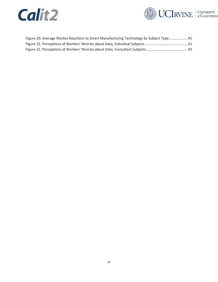



| Figure 20. Average Worker Reactions to Smart Manufacturing Technology by Subject Type 41 |  |
|------------------------------------------------------------------------------------------|--|
|                                                                                          |  |
|                                                                                          |  |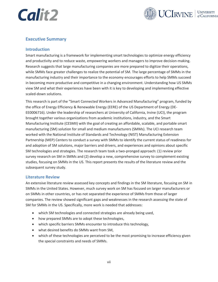

### <span id="page-6-0"></span>**Executive Summary**

### <span id="page-6-1"></span>**Introduction**

Smart manufacturing is a framework for implementing smart technologies to optimize energy efficiency and productivity and to reduce waste, empowering workers and managers to improve decision-making. Research suggests that large manufacturing companies are more prepared to digitize their operations, while SMMs face greater challenges to realize the potential of SM. The large percentage of SMMs in the manufacturing industry and their importance to the economy encourages efforts to help SMMs succeed in becoming more productive and competitive in a changing environment. Understanding how US SMMs view SM and what their experiences have been with it is key to developing and implementing effective scaled-down solutions.

This research is part of the "Smart Connected Workers in Advanced Manufacturing" program, funded by the office of Energy Efficiency & Renewable Energy (EERE) of the US Department of Energy (DE-EE0006716). Under the leadership of researchers at University of California, Irvine (UCI), the program brought together various organizations from academic institutions, industry, and the Smart Manufacturing Institute (CESMII) with the goal of creating an affordable, scalable, and portable smart manufacturing (SM) solution for small and medium manufacturers (SMMs). The UCI research team worked with the National Institute of Standards and Technology (NIST) Manufacturing Extension Partnership (MEP) Centers to conduct a survey with SMMs to identify the current status of readiness for and adoption of SM solutions, major barriers and drivers, and experiences and opinions about specific SM technologies and strategies. The research team took a two-pronged approach: (1) review prior survey research on SM in SMMs and (2) develop a new, comprehensive survey to complement existing studies, focusing on SMMs in the US. This report presents the results of the literature review and the subsequent survey study.

#### <span id="page-6-2"></span>**Literature Review**

An extensive literature review assessed key concepts and findings in the SM literature, focusing on SM in SMMs in the United States. However, much survey work on SM has focused on larger manufacturers or on SMMs in other countries, or has not separated the experience of SMMs from those of larger companies. The review showed significant gaps and weaknesses in the research assessing the state of SM for SMMs in the US. Specifically, more work is needed that addresses:

- which SM technologies and connected strategies are already being used,
- how prepared SMMs are to adopt these technologies,
- which specific barriers SMMs encounter to introduce this technology,
- what desired benefits do SMMs want from SM,
- which of these technologies are perceived to be the most promising to increase efficiency given the special constraints and needs of SMMs.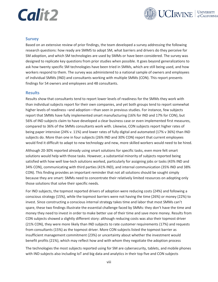

### <span id="page-7-0"></span>**Survey**

Based on an extensive review of prior findings, the team developed a survey addressing the following research questions: how ready are SMMS to adopt SM, what barriers and drivers do they perceive for SM adoption, and which SM technologies are used by SMMs or have been considered. The survey was designed to replicate key questions from prior studies when possible. It goes beyond generalizations to ask how twenty specific SM technologies have been tried in SMMs, which are still being used, and how workers respond to them. The survey was administered to a national sample of owners and employees of individual SMMs (IND) and consultants working with multiple SMMs (CON). This report presents findings for 54 owners and employees and 48 consultants.

#### <span id="page-7-1"></span>**Results**

Results show that consultants tend to report lower levels of readiness for the SMMs they work with than individual subjects report for their own companies, and yet both groups tend to report somewhat higher levels of readiness –and adoption—than seen in previous studies. For instance, few subjects report that SMMs have fully implemented smart manufacturing (16% for IND and 17% for CON), but 56% of IND subjects claim to have developed a clear business case or even implemented first measures, compared to 36% of the SMMs consultants work with. Likewise, CON subjects report higher rates of being paper intensive (24% v. 11%) and lower rates of fully digital and automated (17% v 36%) than IND subjects do. More than one in four subjects (26% IND and 30% CON) report that current employees would find it difficult to adapt to new technology and new, more skilled workers would need to be hired.

Although 20-30% reported already using smart solutions for specific tasks, even more felt smart solutions would help with those tasks. However, a substantial minority of subjects reported being satisfied with how well low-tech solutions worked, particularly for assigning jobs or tasks (43% IND and 34% CON), communicating with third parties (41% IND), and internal communication (35% IND and 38% CON). This finding provides an important reminder that not all solutions should be sought simply because they are smart: SMMs need to concentrate their relatively limited resources on adopting only those solutions that solve their specific needs.

For IND subjects, the topmost reported drivers of adoption were reducing costs (24%) and following a conscious strategy (15%), while the topmost barriers were not having the time (26%) or money (22%) to invest. Since constructing a conscious internal strategy takes time and labor that most SMMs can't spare, these two findings illustrate the essential challenge faced by SMMs: they don't have the time and money they need to invest in order to make better use of their time and save more money. Results from CON subjects showed a slightly different story: although reducing costs was also their topmost driver (21% CON), they were more likely than IND subjects to rate customer requirements (17%) and requests from consultants (15%) as the topmost driver. More CON subjects listed the topmost barrier as insufficient management commitment (23%) or uncertainty about whether the investment would benefit profits (21%), which may reflect how and with whom they negotiate the adoption process

The technologies the most subjects reported using for SM are cybersecurity, tablets, and mobile phones with IND subjects also including IoT and big data and analytics in their top five and CON subjects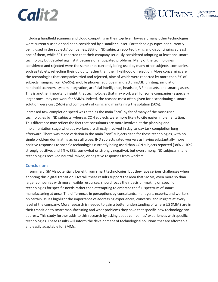



including handheld scanners and cloud computing in their top five. However, many other technologies were currently used or had been considered by a smaller subset. For technology types not currently being used in the subjects' companies, 33% of IND subjects reported trying and discontinuing at least one of them, while 59% reported that their company seriously considered adopting at least one smart technology but decided against it because of anticipated problems. Many of the technologies considered and rejected were the same ones currently being used by many other subjects' companies, such as tablets, reflecting their ubiquity rather than their likelihood of rejection. More concerning are the technologies that companies tried and rejected, nine of which were reported by more than 5% of subjects (ranging from 6%-9%): mobile phones, additive manufacturing/3D printing, simulation, handhold scanners, system integration, artificial intelligence, headsets, VR headsets, and smart glasses. This is another important insight, that technologies that may work well for some companies (especially larger ones) may not work for SMMs. Indeed, the reasons most often given for discontinuing a smart solution were cost (56%) and complexity of using and maintaining the solution (50%).

Increased task completion speed was cited as the main "pro" by far of many of the most-used technologies by IND subjects, whereas CON subjects were more likely to cite easier implementation. This difference may reflect the fact that consultants are more involved at the planning and implementation stage whereas workers are directly involved in day-to-day task completion long afterward. There was more variation in the main "con" subjects cited for these technologies, with no single problem dominating across all types. IND subjects rated workers as having substantially more positive responses to specific technologies currently being used than CON subjects reported (38% v. 10% strongly positive, and 7% v. 33% somewhat or strongly negative), but even among IND subjects, many technologies received neutral, mixed, or negative responses from workers.

#### <span id="page-8-0"></span>**Conclusions**

In summary, SMMs potentially benefit from smart technologies, but they face serious challenges when adopting this digital transition. Overall, these results support the idea that SMMs, even more so than larger companies with more flexible resources, should focus their decision-making on specific technologies for specific needs rather than attempting to embrace the full spectrum of smart manufacturing at once. The differences in perceptions by consultants, managers, experts, and workers on certain issues highlight the importance of addressing experiences, concerns, and insights at every level of the company. More research is needed to gain a better understanding of where US SMMS are in their transition to smart manufacturing and what problems they have that specific new technology can address. This study further adds to this research by asking about companies' experiences with specific technologies. These results will inform the development of technological solutions that are affordable and easily adaptable for SMMs.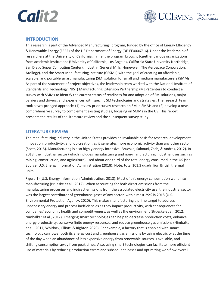![](_page_9_Picture_0.jpeg)

![](_page_9_Picture_1.jpeg)

### <span id="page-9-0"></span>**INTRODUCTION**

This research is part of the Advanced Manufacturing" program, funded by the office of Energy Efficiency & Renewable Energy (EERE) of the US Department of Energy (DE-EE0006716). Under the leadership of researchers at the University of California, Irvine, the program brought together various organizations from academic institutions (University of California, Los Angeles, California State University Northridge, San Diego Super Computing Center), industry (General Mills, Honeywell, The Aerospace Corporation, Atollogy), and the Smart Manufacturing Institute (CESMII) with the goal of creating an affordable, scalable, and portable smart manufacturing (SM) solution for small and medium manufacturers (SMMs). As part of the statement of project objectives, the leadership team worked with the National Institute of Standards and Technology (NIST) Manufacturing Extension Partnership (MEP) Centers to conduct a survey with SMMs to identify the current status of readiness for and adoption of SM solutions, major barriers and drivers, and experiences with specific SM technologies and strategies. The research team took a two-pronged approach: (1) review prior survey research on SM in SMMs and (2) develop a new, comprehensive survey to complement existing studies, focusing on SMMs in the US. This report presents the results of the literature review and the subsequent survey study.

### <span id="page-9-1"></span>**LITERATURE REVIEW**

The manufacturing industry in the United States provides an invaluable basis for research, development, innovation, productivity, and job creation, as it generates more economic activity than any other sector (Scott, 2015). Manufacturing is also highly energy intensive (Brueske, Sabouni, Zach, & Andres, 2012). In 2018, the industrial sector (which includes manufacturing and non-manufacturing industrial uses such as mining, construction, and agriculture) used about one third of the total energy consumed in the US (see Source: [U.S. Energy Information Administration \(2018\); Note: total 101.3 quadrillion British thermal](#page-10-1)  [units](#page-10-1)

[Figure 1\)](#page-10-1) (U.S. Energy Information Administration, 2018). Most of this energy consumption went into manufacturing (Brueske et al., 2012). When accounting for both direct emissions from the manufacturing processes and indirect emissions from the associated electricity use, the industrial sector was the largest contributor of greenhouse gases of any sector, with almost 29% in 2018 (U.S. Environmental Protection Agency, 2020). This makes manufacturing a prime target to address unnecessary energy and process inefficiencies as they impact productivity, with consequences for companies' economic health and competitiveness, as well as the environment (Brueske et al., 2012; Nimbalkar et al., 2017). Emerging smart technologies can help to decrease production costs, enhance energy productivity, conserve finite energy resources, and reduce greenhouse gas emissions (Nimbalkar et al., 2017; Whitlock, Elliott, & Rightor, 2020)*.* For example, a factory that is enabled with smart technology can lower both its energy cost and greenhouse gas emissions by using electricity at the time of the day when an abundance of less expensive energy from renewable sources is available, and shifting consumption away from peak times. Also, using smart technologies can facilitate more efficient use of materials by reducing production errors and subsequent losses and optimizing workflow overall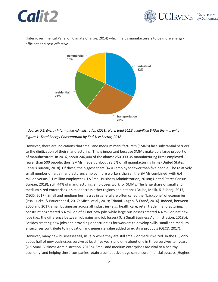![](_page_10_Picture_0.jpeg)

![](_page_10_Picture_1.jpeg)

(Intergovernmental Panel on Climate Change, 2014) which helps manufacturers to be more energyefficient and cost-effective.

![](_page_10_Figure_3.jpeg)

<span id="page-10-1"></span><span id="page-10-0"></span>*Source: U.S. Energy Information Administration (2018); Note: total 101.3 quadrillion British thermal units Figure 1: Total Energy Consumption by End-Use Sector, 2018*

However, there are indications that small and medium manufacturers (SMMs) face substantial barriers to the digitization of their manufacturing. This is important because SMMs make up a large proportion of manufacturers. In 2016, about 246,000 of the almost 250,000 US manufacturing firms employed fewer than 500 people; thus, SMMs made up about 98.5% of all manufacturing firms (United States Census Bureau, 2018). Of these, the biggest share (42%) employed fewer than five people. The relatively small number of large manufacturers employ more workers than all the SMMs combined, with 6.4 million versus 5.1 million employees (U.S Small Business Administration, 2018a; United States Census Bureau, 2018); still, 44% of manufacturing employees work for SMMs. The large share of small and medium-sized enterprises is similar across other regions and nations (Grube, Malik, & Bilberg, 2017; OECD, 2017). Small and medium businesses in general are often called the "backbone" of economies (Issa, Lucke, & Bauernhansl, 2017; Mittal et al., 2019; Trianni, Cagno, & Farné, 2016). Indeed, between 2000 and 2017, small businesses across all industries (e.g., health care, retail trade, manufacturing, construction) created 8.4 million of all net new jobs while large businesses created 4.4 million net new jobs (i.e., the difference between job gains and job losses) (U.S Small Business Administration, 2018b). Besides creating new jobs and providing opportunities for workers to develop skills, small and medium enterprises contribute to innovation and generate value added to existing products (OECD, 2017).

However, many new businesses fail, usually while they are still small- or medium-sized. In the US, only about half of new businesses survive at least five years and only about one in three survives ten years (U.S Small Business Administration, 2018b). Small and medium enterprises are vital to a healthy economy, and helping these companies retain a competitive edge can ensure financial success (Hughes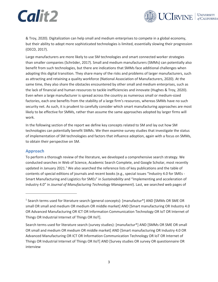![](_page_11_Picture_0.jpeg)

![](_page_11_Picture_1.jpeg)

& Troy, 2020). Digitalization can help small and medium enterprises to compete in a global economy, but their ability to adopt more sophisticated technologies is limited, essentially slowing their progression (OECD, 2017).

Large manufacturers are more likely to use SM technologies and smart connected worker strategies than smaller companies (Schröder, 2017). Small and medium manufacturers (SMMs) can potentially also benefit from such technologies, but there are indications that SMMs face additional challenges when adopting this digital transition. They share many of the risks and problems of larger manufacturers, such as attracting and retaining a quality workforce (National Association of Manufacturers, 2020). At the same time, they also share the obstacles encountered by other small and medium enterprises, such as the lack of financial and human resources to tackle inefficiencies and innovate (Hughes & Troy, 2020). Even when a large manufacturer is spread across the country as numerous small or medium-sized factories, each one benefits from the stability of a large firm's resources, whereas SMMs have no such security net. As such, it is prudent to carefully consider which smart manufacturing approaches are most likely to be effective for SMMs, rather than assume the same approaches adopted by larger firms will work.

In the following section of the report we define key concepts related to SM and lay out how SM technologies can potentially benefit SMMs. We then examine survey studies that investigate the status of implementation of SM technologies and factors that influence adoption, again with a focus on SMMs, to obtain their perspective on SM.

### <span id="page-11-0"></span>**Approach**

To perform a thorough review of the literature, we developed a comprehensive search strategy. We conducted searches in Web of Science, Academic Search Complete, and Google Scholar, most recently updated in January 2021.<sup>1</sup> We also searched the reference lists of key publications and the table of contents of special editions of journals and recent books (e.g., special issues "Industry 4.0 for SMEs - Smart Manufacturing and Logistics for SMEs" in *Sustainability* and "Implementing and acceleration of industry 4.0" in *Journal of Manufacturing Technology Management*). Last, we searched web pages of

<sup>&</sup>lt;sup>1</sup> Search terms used for literature search (general concepts): [manufactur\*] AND [SMMs OR SME OR small OR small and medium OR medium OR middle market] AND [Smart manufacturing OR Industry 4.0 OR Advanced Manufacturing OR ICT OR Information Communication Technology OR IoT OR Internet of Things OR Industrial Internet of Things OR IIoT].

Search terms used for literature search (survey studies): [manufactur\*] AND [SMMs OR SME OR small OR small and medium OR medium OR middle market] AND [Smart manufacturing OR Industry 4.0 OR Advanced Manufacturing OR ICT OR Information Communication Technology OR IoT OR Internet of Things OR Industrial Internet of Things OR IIoT] AND [Survey studies OR survey OR questionnaire OR interview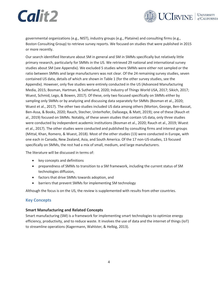![](_page_12_Picture_1.jpeg)

governmental organizations (e.g., NIST), industry groups (e.g., Plataine) and consulting firms (e.g., Boston Consulting Group) to retrieve survey reports. We focused on studies that were published in 2015 or more recently.

Our search identified literature about SM in general and SM in SMMs specifically but relatively little primary research, particularly for SMMs in the US. We retrieved 29 national and international survey studies about SM (see Appendix). We excluded 5 studies where SMMs were either not sampled or the ratio between SMMs and large manufacturers was not clear. Of the 24 remaining survey studies, seven contained US data, details of which are shown i[n Table 1](#page-13-0) (for the other survey studies, see the Appendix). However, only five studies were entirely conducted in the US (Advanced Manufacturing Media, 2015; Bosman, Hartman, & Sutherland, 2020; Industry of Things World USA, 2017; Sikich, 2017; Wuest, Schmid, Lego, & Bowen, 2017). Of these, only two focused specifically on SMMs either by sampling only SMMs or by analyzing and discussing data separately for SMMs (Bosman et al., 2020; Wuest et al., 2017). The other two studies included US data among others (Morton, George, Ben-Bassat, Ben-Assa, & Books, 2020; Rauch, Stecher, Unterhofer, Dallasega, & Matt, 2019); one of these (Rauch et al., 2019) focused on SMMs. Notably, of these seven studies that contain US data, only three studies were conducted by independent academic institutions (Bosman et al., 2020; Rauch et al., 2019; Wuest et al., 2017). The other studies were conducted and published by consulting firms and interest groups (Mittal, Khan, Romero, & Wuest, 2018). Most of the other studies (13) were conducted in Europe, with one each in Canada, New Zealand, Asia, and South America. Of the 17 non-US-studies, 13 focused specifically on SMMs, the rest had a mix of small, medium, and large manufacturers.

The literature will be discussed in terms of:

- key concepts and definitions
- preparedness of SMMs to transition to a SM framework, including the current status of SM technologies diffusion,
- factors that drive SMMs towards adoption, and
- barriers that prevent SMMs for implementing SM technology

Although the focus is on the US, the review is supplemented with results from other countries.

#### <span id="page-12-0"></span>**Key Concepts**

#### <span id="page-12-1"></span>**Smart Manufacturing and Related Concepts**

Smart manufacturing (SM) is a framework for implementing smart technologies to optimize energy efficiency, productivity, and to reduce waste. It involves the use of data and the internet of things (IoT) to streamline operations (Kagermann, Wahlster, & Helbig, 2013).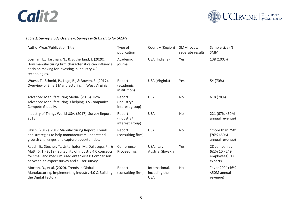![](_page_13_Picture_0.jpeg)

![](_page_13_Picture_1.jpeg)

### *Table 1: Survey Study Overview: Surveys with US Data for SMMs*

<span id="page-13-0"></span>

| Author/Year/Publication Title                                                                                                                                                                                             | Type of<br>publication                  | Country (Region)                              | SMM focus/<br>separate results | Sample size (%<br>SMM)                                         |
|---------------------------------------------------------------------------------------------------------------------------------------------------------------------------------------------------------------------------|-----------------------------------------|-----------------------------------------------|--------------------------------|----------------------------------------------------------------|
| Bosman, L., Hartman, N., & Sutherland, J. (2020).<br>How manufacturing firm characteristics can influence<br>decision making for investing in Industry 4.0<br>technologies.                                               | Academic<br>journal                     | USA (Indiana)                                 | Yes                            | 138 (100%)                                                     |
| Wuest, T., Schmid, P., Lego, B., & Bowen, E. (2017).<br>Overview of Smart Manufacturing in West Virginia.                                                                                                                 | Report<br>(academic<br>institution)     | USA (Virginia)                                | Yes                            | 54 (70%)                                                       |
| Advanced Manufacturing Media. (2015). How<br>Advanced Manufacturing is helping U.S Companies<br>Compete Globally.                                                                                                         | Report<br>(industry/<br>interest group) | <b>USA</b>                                    | No                             | 618 (78%)                                                      |
| Industry of Things World USA. (2017). Survey Report<br>2018.                                                                                                                                                              | Report<br>(industry/<br>interest group) | <b>USA</b>                                    | <b>No</b>                      | 221 (67% < 50M<br>annual revenue)                              |
| Sikich. (2017). 2017 Manufacturing Report. Trends<br>and strategies to help manufacturers understand<br>growth challenges and capture opportunities.                                                                      | Report<br>(consulting firm)             | <b>USA</b>                                    | No                             | "more than 250"<br>(76% < 50M<br>annual revenue)               |
| Rauch, E., Stecher, T., Unterhofer, M., Dallasega, P., &<br>Matt, D. T. (2019). Suitability of Industry 4.0 concepts<br>for small and medium sized enterprises: Comparison<br>between an expert survey and a user survey. | Conference<br>Proceedings               | USA, Italy,<br>Austria, Slovakia              | Yes                            | 28 companies<br>$(61\% 10 - 249)$<br>employees); 12<br>experts |
| Morton, D., et al. (2020). Trends in Global<br>Manufacturing. Implementing Industry 4.0 & Building<br>the Digital Factory.                                                                                                | Report<br>(consulting firm)             | International,<br>including the<br><b>USA</b> | <b>No</b>                      | "over 200" (46%<br><50M annual<br>revenue)                     |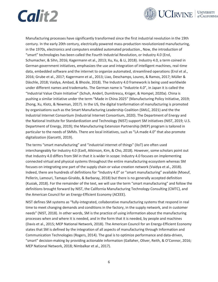![](_page_14_Picture_0.jpeg)

![](_page_14_Picture_1.jpeg)

Manufacturing processes have significantly transformed since the first industrial revolution in the 19th century. In the early 20th century, electrically powered mass-production revolutionized manufacturing, in the 1970s, electronics and computers enabled automated production., Now, the introduction of "smart" technologies has been called the Fourth Industrial Revolution, or Industry 4.0 (Erol, Schumacher, & Sihn, 2016; Kagermann et al., 2013; Xu, Xu, & Li, 2018). Industry 4.0, a term coined in German government initiatives, emphasizes the use and integration of intelligent machines, real-time data, embedded software and the internet to organize automated, streamlined operations (Erol et al., 2016; Grube et al., 2017; Kagermann et al., 2013; Liao, Deschamps, Loures, & Ramos, 2017; Müller & Däschle, 2018; Vaidya, Ambad, & Bhosle, 2018). The Industry 4.0 framework is being used worldwide under different names and trademarks. The German name is "Industrie 4.0", in Japan it is called the "Industrial Value Chain Initiative" (Schuh, Anderl, Dumitrescu, Krüger, & Hompel, 2020a). China is pushing a similar initiative under the term "Made in China 2025" (Manufacturing Policy Initiative, 2019; Zhong, Xu, Klotz, & Newman, 2017). In the US, the digital tranformation of manufacturing is promoted by organisations such as the Smart Manufacturing Leadership Coalition (SMLC, 2021) and the the Industrial Internet Consortium (Industrial Internet Consortium, 2020). The Department of Energy and the National Institute for Standardization and Technology (NIST) support SM initiatives (NIST, 2019; U.S. Department of Energy, 2019); the Manufacturing Extension Partnership (MEP) program is tailored in particular to the needs of SMMs. There are local initiatives, such as "LA made 4.0" that also promote digitalization (Garcetti, 2019).

The terms "smart manufacturing" and "industrial internet of things" (IIoT) are often used interchangeably for Industry 4.0 (Ezell, Atkinson, Kim, & Cho, 2018). However, some scholars point out that Industry 4.0 differs from SM in that it is wider in scope: Industry 4.0 focuses on implementing connected virtual and physical systems throughout the entire manufacturing ecosystem whereas SM focuses on integrating one part of the supply chain or value creation network (Vaidya et al., 2018). Indeed, there are hundreds of definitions for "Industry 4.0" or "smart manufacturing" available (Moeuf, Pellerin, Lamouri, Tamayo-Giraldo, & Barbaray, 2018) but there is no generally accepted definition (Kusiak, 2018). For the remainder of the text, we will use the term "smart manufacturing" and follow the definitions brought forward by NIST, the California Manufacturing Technology Consulting (CMTC), and the American Council for an Energy-Efficient Economy (ACEEE).

NIST defines SM systems as "fully-integrated, collaborative manufacturing systems that respond in real time to meet changing demands and conditions in the factory, in the supply network, and in customer needs" (NIST, 2018). In other words, SM is the practice of using information about the manufacturing processes when and where it is needed, and in the form that it is needed, by people and machines (Davis et al., 2015; MEP National Network, 2018). The American Council for an Energy-Efficient Economy states that SM is defined by the integration of all aspects of manufacturing through Information and Communication Technologies (Rogers, 2014). The goal is to optimize performance and data-driven, "smart" decision-making by providing actionable information (Gallaher, Oliver, Reith, & O'Connor, 2016; MEP National Network, 2018; Nimbalkar et al., 2017).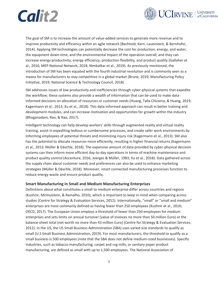![](_page_15_Picture_0.jpeg)

![](_page_15_Picture_1.jpeg)

The goal of SM is to increase the amount of value-added services to generate more revenue and to improve productvity and efficiency within an agile network (Bechtold, Kern, Lauenstein, & Bernhofer, 2014). Applying SM technologies can potentially decrease the cost for production, energy, and water, the equipment down-time, and the environmental impact of the operation overall; and they can increase energy productivity, energy efficiency, production flexibility, and product quality (Gallaher et al., 2016; MEP National Network, 2018; Nimbalkar et al., 2019). As previously mentioned, the introduction of SM has been equated with the fourth industrial revolution and is commonly seen as a means for manufacturers to stay competitive in a global market (Brune, 2019; Manufacturing Policy Initiative, 2019; National Science & Technology Council, 2018)

SM addresses issues of low productivity and inefficiencies through cyber-physical systems that expedite the workflow; these systems also provide a wealth of information that can be used to make datainformed decisions on allocation of resources or customer needs (Huang, Talla Chicoma, & Huang, 2019; Kagermann et al., 2013; Xu et al., 2018). This data-informed approach can result in better training and development modules, and can increase motivation and opportunities for growth within the industry (Bhoganadam, Rao, & Rao, 2017).

Intelligent technology can help develop workers' skills through augmented reality and virtual reality training, assist in expediting tedious or cumbersome processes, and create safer work environments by informing employees of potential threats and minimizing injury risk (Kagermann et al., 2013). SM also has the potential to allocate resources more efficiently, resulting in higher financial returns (Kagermann et al., 2013; Müller & Däschle, 2018). The expansive amount of data provided by cyber-physical decision systems can then inform more efficient day-to-day operations in terms of machine maintenance and product quality control (Accenture, 2016; Joerges & Müller, 1983; Xu et al., 2018). Data gathered across the supply chain about customer needs and preferences can also be used to enhance marketing strategies (Müller & Däschle, 2018). Moreover, smart connected manufacturing processes function to reduce energy waste and ensure product quality.

#### <span id="page-15-0"></span>**Smart Manufacturing in Small and Medium Manufacturing Enterprises**

Definitions about what constitutes a small to medium enterprise differ across countries and regions (Kushnir, Mirmulstein, & Ramalho, 2010), which is important to keep in mind when comparing across studies (Centre for Strategy & Evaluation Services, 2012). Internationally, "small" or "small and medium" enterprises are most commonly defined as having fewer than 250 employees (Kushnir et al., 2010; OECD, 2017). The European Union employs a threshold of fewer than 250 employees for medium enterprises and sets limits on annual turnover (value of invoices no more than 50 million Euro) or the balance-sheet total (net worth no more than 43 million Euro) (Centre for Strategy & Evaluation Services, 2012). In the US, the US Small Business Administration (SBA) uses varied size standards to qualify as small (U.S Small Business Administration, 2019). For most manufacturers, the threshold to qualify as a small business is 500 employees (note that the SBA does not define medium-sized businesses). Specific industries, such as tobacco manufacturing, carpet and rug mills, or sanitary paper product manufacturing, are defined as small with up to 1,500 employees. The National Association of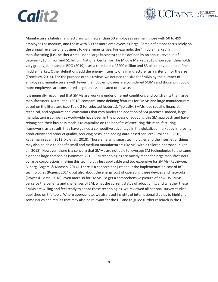![](_page_16_Picture_0.jpeg)

![](_page_16_Picture_1.jpeg)

Manufacturers labels manufacturers with fewer than 50 employees as small, those with 50 to 499 employees as medium, and those with 500 or more employees as large. Some definitions focus solely on the annual revenue of a business to determine its size. For example, the "middle market" in manufacturing (i.e., neither a small nor a large business) can be defined by an annual revenue of between \$10 million and \$1 billion (National Center for The Middle Market, 2018); however, thresholds vary greatly, for example BDO (2019) uses a threshold of \$200 million and \$3 billion revenue to define middle market. Other definitions add the energy intensity of a manufacturer as a criterion for the size (Trombley, 2014). For the purpose of this review, we defined the size for SMMs by the number of employees: manufacturers with fewer than 500 employees are considered SMMs and those with 500 or more employees are considered large, unless indicated otherwise.

It is generally recognized that SMMs are working under different conditions and constraints than large manufacturers. Mittal et al. (2018) compare some defining features for SMMs and large manufacturers based on the literature (see [Table 2](#page-17-2) for selected features). Typically, SMMs face specific financial, technical, and organizational constraints that may hinder the adoption of SM practices. Indeed, large manufacturing companies worldwide have been in the process of adopting this SM approach and have reimagined their business models to capitalize on the benefits of executing this manufacturing framework; as a result, they have gained a competitive advantage in the globalized market by improving productivity and product quality, reducing costs, and adding data-based services (Erol et al., 2016; Kagermann et al., 2013; Xu et al., 2018). Those emerging smart technologies and the internet of things may also be able to benefit small and medium manufacturers (SMMs) with a tailored approach (Xu et al., 2018). However, there is a concern that SMMs are not able to leverage SM technologies to the same extent as large companies (Sommer, 2015): SM technologies are mostly made for large manufacturers by large corporations, making this technology less applicable and too expensive for SMMs (Radziwon, Bilberg, Bogers, & Madsen, 2014). There is a concern not just about the implementation cost of IoT technologies (Rogers, 2014), but also about the energy cost of operating these devices and networks (Dwyer & Bassa, 2018), even more so for SMMs. To get a comprehensive picture of how US SMMs perceive the benefits and challenges of SM, what the current status of adoption is, and whether these SMMs are willing and feel ready to adopt these technologies, we reviewed all national survey studies published on the topic. Where appropriate, we also used insights of international studies to highlight some issues and results that may also be relevant for the US and to guide further research in the US.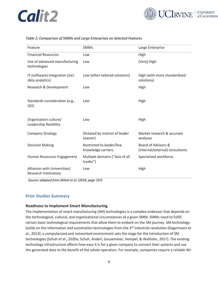![](_page_17_Picture_0.jpeg)

![](_page_17_Picture_1.jpeg)

#### <span id="page-17-2"></span>*Table 2: Comparison of SMMs and Large Enterprises on Selected Features*

| Feature                                                      | <b>SMMs</b>                                    | Large Enterprise                                       |
|--------------------------------------------------------------|------------------------------------------------|--------------------------------------------------------|
| <b>Financial Resources</b>                                   | Low                                            | High                                                   |
| Use of advanced manufacturing<br>technologies                | Low                                            | (Very) High                                            |
| IT (software) integration (incl.<br>data analytics)          | Low (often tailored solutions)                 | High (with more standardized<br>solutions)             |
| Research & Development                                       | Low                                            | High                                                   |
| Standards consideration (e.g.,<br>ISO)                       | Low                                            | High                                                   |
| Organization culture/<br>Leadership flexibility              | Low                                            | High                                                   |
| <b>Company Strategy</b>                                      | Dictated by instinct of leader<br>(owner)      | Market research & accurate<br>analyses                 |
| <b>Decision Making</b>                                       | Restricted to leader/few<br>knowledge carriers | Board of Advisors &<br>(internal/external) consultants |
| Human Resources Engagement                                   | Multiple domains ("Jack of all<br>trades")     | Specialized workforce                                  |
| Alliances with Universities/<br><b>Research Institutions</b> | Low                                            | High                                                   |

*Source: adapted from Mittal et al. (2018, page 197)*

#### <span id="page-17-0"></span>**Prior Studies Summary**

#### <span id="page-17-1"></span>**Readiness to Implement Smart Manufacturing**

The implementation of smart manufacturing (SM) technologies is a complex endeavor that depends on the technological, cultural, and organizational circumstances of a given SMM. SMMs need to fulfill certain basic technological requirements that allow them to embark on the SM journey. SM technology builds on the information and automation technologies from the 3<sup>rd</sup> industrial revolution (Kagermann et al., 2013); a computerized and networked environment sets the stage for the introduction of SM technologies (Schuh et al., 2020a; Schuh, Anderl, Gausemeier, Hompel, & Wahlster, 2017). The existing technology infrastructure affects how easy it is for a given company to connect their systems and use the generated data to the benefit of the whole operation. For example, companies require a reliable Wi-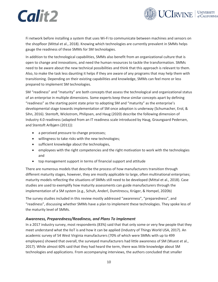![](_page_18_Picture_1.jpeg)

Fi network before installing a system that uses Wi-Fi to communicate between machines and sensors on the shopfloor (Mittal et al., 2018). Knowing which technologies are currently prevalent in SMMs helps gauge the readiness of these SMMs for SM technologies.

In addition to the technological capabilities, SMMs also benefit from an organizational culture that is open to change and innovations, and need the human resources to tackle the transformation. SMMs need to be aware about the new technical possibilities and think that this approach is relevant to them. Also, to make the task less daunting it helps if they are aware of any programs that may help them with transitioning. Depending on their existing capabilities and knowledge, SMMs can feel more or less prepared to implement SM technologies.

SM "readiness" and "maturity" are both concepts that assess the technological and organizational status of an enterprise in multiple dimensions. Some experts keep these similar concepts apart by defining "readiness" as the starting point state prior to adopting SM and "maturity" as the enterprise's developmental stage towards implementation of SM once adoption is underway (Schumacher, Erol, & Sihn, 2016). Stentoft, Wickstrom, Philipsen, and Haug (2020) describe the following dimension of Industry 4.0 readiness (adapted from an IT readiness scale introduced by Haug, Graungaard Pedersen, and Stentoft Arlbjørn (2011)):

- a perceived pressure to change processes;
- willingness to take risks with the new technologies;
- sufficient knowledge about the technologies,
- employees with the right competencies and the right motivation to work with the technologies and
- top management support in terms of financial support and attitude

There are numerous models that describe the process of how manufacturers transition through different maturity stages, however, they are mostly applicable to large, often multinational enterprises; maturity models reflecting the situations of SMMs still need to be developed (Mittal et al., 2018). Case studies are used to exemplify how maturity assessments can guide manufacturers through the implementation of a SM system (e.g., Schuh, Anderl, Dumitrescu, Krüger, & Hompel, 2020b)

The survey studies included in this review mostly addressed "awareness", "preparedness", and "readiness", discussing whether SMMs have a plan to implement these technologies. They spoke less of the maturity level of SMMs.

#### *Awareness, Preparedness/Readiness, and Plans To Implement*

In a 2017 industry survey, most respondents (83%) said that that only some or very few people that they meet understand what the IIoT is and how it can be applied (Industry of Things World USA, 2017). An academic survey of 54 West Virginia manufacturers (70% of which were SMMs with up to 499 employees) showed that overall, the surveyed manufacturers had little awareness of SM (Wuest et al., 2017). While almost 60% said that they had heard the term, there was little knowledge about SM technologies and applications. From accompanying interviews, the authors concluded that smaller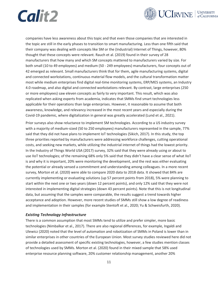![](_page_19_Picture_0.jpeg)

![](_page_19_Picture_1.jpeg)

companies have less awareness about this topic and that even those companies that are interested in the topic are still in the early phases to transition to smart manufacturing. Less than one fifth said that their company was dealing with concepts like SM or the (Industrial) Internet of Things, however, 80% thought that these concepts were relevant. Rauch et al. (2019) found in their survey of 28 manufacturers that how many and which SM concepts mattered to manufacturers varied by size. For both small (10 to 49 employees) and medium (50 - 249 employees) manufacturers, four concepts out of 42 emerged as relevant. Small manufacturers think that for them, agile manufacturing systems, digital and connected workstations, continuous material flow models, and the cultural transformation matter most while medium enterprises find digital real-time monitoring systems, ERP/MES systems, an Industry 4.0 roadmap, and also digital and connected workstations relevant. By contrast, large enterprises (250 or more employees) saw eleven concepts as fairly to very important. This result, which was also replicated when asking experts from academia, indicates that SMMs find smart technologies less applicable for their operations than large enterprises. However, it reasonable to assume that both awareness, knowledge, and relevancy increased in the most recent years and especially during the Covid-19 pandemic, where digitalization in general was greatly accelerated (Lund et al., 2021).

Prior surveys also show reluctance to implement SM technologies. According to a US industry survey with a majority of medium-sized (50 to 250 employees) manufacturers represented in the sample, 77% said that they did not have plans to implement IoT technologies (Sikich, 2017). In this study, the top three priorities reported by manufacturers were addressing workforce challenges, cutting operational costs, and seeking new markets, while utilizing the industrial internet of things had the lowest priority. In the Industry of Things World USA (2017) survey, 32% said that they were already using or about to use IIoT technologies; of the remaining 68% only 5% said that they didn't have a clear sense of what IIoT is and why it is important, 20% were monitoring the development, and the rest was either evaluating the potential or already sensed a commitment and understanding among colleagues. In a more recent survey, Morton et al. (2020) were able to compare 2020 data to 2018 data. It showed that 84% are currently implementing or evaluating solutions (up 57 percent points from 2018), 5% were planning to start within the next one or two years (down 12 percent points), and only 12% said that they were not interested in implementing digital strategies (down 43 percent points). Note that this is not longitudinal data, but assuming that the samples were comparable, the results suggest a trend towards higher acceptance and adoption. However, more recent studies of SMMs still show a low degree of readiness and implementation in their samples (for example Stentoft et al., 2020; Yu & Schweisfurth, 2020).

#### *Existing Technology Infrastructure*

There is a common assumption that most SMMs tend to utilize and prefer simpler, more basic technologies (Nimbalkar et al., 2017). There are also regional differences, for example, Ingaldi and Ulewicz (2020) noted that the level of automation and robotization of SMMs in Poland is lower than in similar enterprises in other countries of the European Union. Most survey studies reviewed here did not provide a detailed assessment of specific existing technologies, however, a few studies mention classes of technologies used by SMMs. Morton et al. (2020) found in their mixed sample that 58% used enterprise resource planning software, 20% customer relationship management, another 20%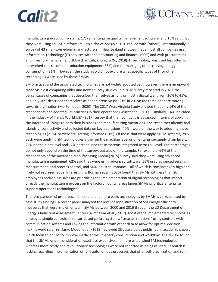![](_page_20_Picture_0.jpeg)

![](_page_20_Picture_1.jpeg)

manufacturing execution systems, 17% an enterprise quality management software, and 15% said that they were using an IIoT platform (multiple choice possible, 19% replied with "other"). Internationally, a survey of 43 small-to-medium manufacturers in New Zealand showed that almost all companies use Information Technology (IT) services with their accounting and finances (90%) and with procurement and inventory management (83%) (Hamzeh, Zhong, & Xu, 2018). IT technology was used less often for networked control of the production equipment (38%) and for managing or decreasing energy consumption (21%). However, the study also did not explore what specific types of IT or other technologies were used by these SMMs.

SM practices and the associated technologies are not widely adopted yet, however, there is an upward trend visible if comparing older and newer survey studies. In a 2018 survey repeated in 2020, the percentages of companies that described themselves as fully or mostly digital went from 26% to 41%, and only 16% described themselves as paper intensive (vs. 21% in 2018); the remainder are moving towards digitization (Morton et al., 2020). The 2017 West Virginia Study showed that only 14% of the respondents had adopted SM practices in their operations (Wuest et al., 2017). Similarly, 14% indicated in the Industry of Things World USA (2017) survey that their company is advanced in terms of applying the Internet of Things to both their business and manufacturing operations. The rest either already had islands of connectivity and collected data on key operations (40%), were on the way to adopting these technologies (21%), or were still getting informed (21%). Of those that were applying SM systems, 29% each were applying SM technologies either on the machine level or on enterprise/supply chain levels, 21% on the plant level and 17% percent used these systems integrated across all level. The percentages do not only depend on the time of the survey, but also on the sample. For example, 64% of the respondents of the Advanced Manufacturing Media (2015) survey said they were using advanced manufacturing equipment, 62% said they were using advanced software, 55% used advanced sensing, measurement, and process control, and 54% industrial robotics – all of which is comparatively high and likely not representative. Interestingly, Bosman et al. (2020) found that SMMs with less than 20 employees and/or less sales are prioritizing the implementation of digital technologies that impact directly the manufacturing process on the factory floor whereas larger SMMs prioritize enterprise support operations technologies .

The (pre-pandemic) preference for simpler and more basic technologies by SMMs is corroborated by case study findings. A recent paper analyzed the level of sophistication of SM energy efficiency measures that were implemented in SMMs between 2000 and 2016 through the US Department of Energy's Industrial Assessment Centers (Nimbalkar et al., 2017). Most of the implemented technologies employed simple controls or sensor-based control systems; "smarter solutions" using controls with communication systems and linking the information with other data to allow for optimal decision making were rare. Similarly, Moeuf et al. (2018) reviewed 23 case studies published in academic papers which focused on SM to improve inefficiencies in energy consumption and workflow. The review found that the SMMs under consideration used less-expensive and more established SM technologies, whereas more costly and revolutionary technologies were not reported as being utilized. Research is lacking regarding implementation of fully autonomous processes that offer self-organization and self-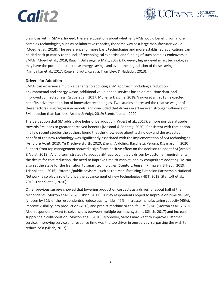![](_page_21_Picture_0.jpeg)

![](_page_21_Picture_1.jpeg)

diagnosis within SMMs. Indeed, there are questions about whether SMMs would benefit from more complex technologies, such as collaborative robotics, the same way as a large manufacturer would (Moeuf et al., 2018). The preference for more basic technologies and more established applications can be tied back primarily to the lack of technological expertise and funding of such complex endeavors in SMMs (Moeuf et al., 2018; Rauch, Dallasega, & Matt, 2017). However, higher-level smart technologies may have the potential to increase energy savings and avoid the degradation of these savings (Nimbalkar et al., 2017; Rogers, Elliott, Kwatra, Trombley, & Nadadur, 2013).

#### <span id="page-21-0"></span>**Drivers for Adoption**

SMMs can experience multiple benefits to adopting a SM approach, including a reduction in environmental and energy waste, additional value-added services based on real-time data, and improved connectedness (Grube et al., 2017; Müller & Däschle, 2018; Vaidya et al., 2018); expected benefits drive the adoption of innovative technologies. Two studies addressed the relative weight of these factors using regression models, and concluded that drivers exert an even stronger influence on SM adoption than barriers (Arnold & Voigt, 2019; Stentoft et al., 2020).

The perception that SM adds value helps drive adoption (Wuest et al., 2017); a more positive attitude towards SM leads to greater perceived benefits (Masood & Sonntag, 2020). Consistent with that notion, in a few recent studies the authors found that the knowledge about technology and the expected benefit of the new technology was significantly associated with the implementation of SM technologies (Arnold & Voigt, 2019; Yu & Schweisfurth, 2020; Zheng, Ardolino, Bacchetti, Perona, & Zanardini, 2020). Support from top management showed a significant positive effect on the decision to adopt SM (Arnold & Voigt, 2019). A long-term strategy to adopt a SM approach that is driven by customer requirements, the desire for cost reduction, the need to improve time-to-market, and by competitors adopting SM can also set the stage for the transition to smart technologies (Stentoft, Jensen, Philipsen, & Haug, 2019; Trianni et al., 2016). External/public advisors (such as the Manufacturing Extension Partnership National Network) also play a role to drive the advancement of new technologies (NIST, 2019; Stentoft et al., 2019; Trianni et al., 2016).

Other previous surveys showed that lowering production cost acts as a driver for about half of the respondents (Morton et al., 2020; Sikich, 2017). Survey respondents hoped to improve on-time delivery (chosen by 51% of the respondents), reduce quality risks (47%), increase manufacturing capacity (45%), improve visibility into production (40%), and predict machine or tool failure (39%) (Morton et al., 2020). Also, respondents want to solve issues between multiple business systems (Sikich, 2017) and increase supply chain collaboration (Morton et al., 2020). Moreover, SMMs may want to improve customer service. Improving service and response time was the top driver in one survey, surpassing the wish to reduce cost (Sikich, 2017).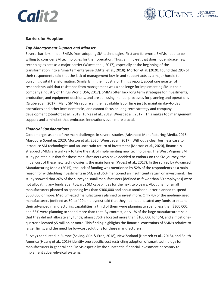![](_page_22_Picture_0.jpeg)

![](_page_22_Picture_1.jpeg)

#### <span id="page-22-0"></span>**Barriers for Adoption**

#### *Top Management Support and Mindset*

Several barriers hinder SMMs from adopting SM technologies. First and foremost, SMMs need to be willing to consider SM technologies for their operation. Thus, a mind-set that does not embrace new technologies acts as a major barrier (Wuest et al., 2017), especially at the beginning of the transformation into a "smarter" enterprise (Mittal et al., 2018). Morton et al. (2020) found that 29% of their respondents said that the lack of management buy-in and support acts as a major hurdle to pursuing digital transformation. Similarly, in the Industry of Things report, about one quarter of respondents said that resistance from management was a challenge for implementing SM in their company (Industry of Things World USA, 2017). SMMs often lack long term strategies for investments, production, and equipment decisions, and are still using manual processes for planning and operations (Grube et al., 2017). Many SMMs require all their available labor time just to maintain day-to-day operations and other imminent tasks, and cannot focus on long-term strategy and company development (Stentoft et al., 2019; Türkeș et al., 2019; Wuest et al., 2017). This makes top management support and a mindset that embraces innovations even more crucial.

#### *Financial Considerations*

Cost emerges as one of the main challenges in several studies (Advanced Manufacturing Media, 2015; Masood & Sonntag, 2020; Morton et al., 2020; Wuest et al., 2017). Without a clear business case to introduce SM technologies and an uncertain return of investment (Morton et al., 2020), financially strapped SMMs are unlikely to take the risk of implementing new technologies. The West Virginia SM study pointed out that for those manufacturers who have decided to embark on the SM journey, the initial cost of these new technologies is the main barrier (Wuest et al., 2017). In the survey by Advanced Manufacturing Media (2015), the lack of funding was mentioned by 52% of the respondents as a main reason for withholding investments in SM, and 36% mentioned an insufficient return on investment. The study showed that 26% of the surveyed small manufacturers (defined as fewer than 50 employees) were not allocating any funds at all towards SM capabilities for the next two years. About half of small manufacturers planned on spending less than \$300,000 and about another quarter planned to spend \$300,000 or more. Medium-sized manufacturers planned to invest more. Only 4% of the medium-sized manufacturers (defined as 50 to 499 employees) said that they had not allocated any funds to expand their advanced manufacturing capabilities, a third of them were planning to spend less than \$300,000, and 63% were planning to spend more than that. By contrast, only 1% of the large manufacturers said that they did not allocate any funds; almost 75% allocated more than \$100,000 for SM, and almost onequarter allocated \$5 million or more. This finding highlights the financial constraints of SMMs relative to larger firms, and the need for low-cost solutions for these manufacturers.

Surveys conducted in Europe (Sevinç, Gür, & Eren, 2018), New Zealand (Hamzeh et al., 2018), and South America (Huang et al., 2019) identify one specific cost restricting adoption of smart technology for manufacturers in general and SMMs especially: the substantial financial investment necessary to implement cyber-physical systems.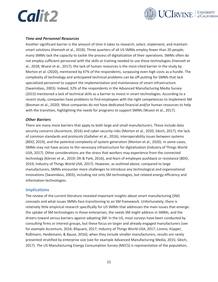![](_page_23_Picture_0.jpeg)

![](_page_23_Picture_1.jpeg)

#### *Time and Personnel Resources*

Another significant barrier is the amount of time it takes to research, select, implement, and maintain smart solutions (Hamzeh et al., 2018). Three quarters of all US SMMs employ fewer than 20 people; many SMMs lack the capacity to tackle the process of digitalization of their operations. SMMs often do not employ sufficient personnel with the skills or training needed to use these technologies (Hamzeh et al., 2018; Wuest et al., 2017); the lack of human resources is the most-cited barrier in the study by Morton et al. (2020), mentioned by 47% of the respondents, surpassing even high costs as a hurdle. The complexity of technology and anticipated technical problems can be off-putting for SMMs that lack specialized personnel to support the implementation and maintenance of smart infrastructure (Swamidass, 2003). Indeed, 32% of the respondents in the Advanced Manufacturing Media Survey (2015) mentioned a lack of technical skills as a barrier to invest in smart technologies. According to a recent study, companies have problems to find employees with the right competences to implement SM (Bosman et al., 2020). Most companies do not have dedicated financial and/or human resources to help with the transition, highlighting the needs for programs to support SMMs (Wuest et al., 2017).

#### *Other Barriers*

There are many more barriers that apply to both large and small manufacturers. These include data security concerns (Accenture, 2016) and cyber security risks (Morton et al., 2020; Sikich, 2017), the lack of common standards and protocols (Gallaher et al., 2016), interoperability issues between systems (BDO, 2019), and the potential complexity of system generation (Morton et al., 2020). In some cases, SMMs may not have access to the necessary infrastructure for digitalization (Industry of Things World USA, 2017). Other considerations are the stress that workers may experience from the connected technology (Körner et al., 2019; Oh & Park, 2016), and fears of employee pushback or resistance (BDO, 2019; Industry of Things World USA, 2017). However, as outlined above, compared to large manufacturers, SMMs encounter more challenges to introduce any technological and organizational innovations (Swamidass, 2003), including not only SM technologies, but related energy efficiency and information technologies.

#### <span id="page-23-0"></span>**Implications**

The review of the current literature revealed important insights about smart manufacturing (SM) concepts and what issues SMMs face transitioning to an SM framework. Unfortunately, there is relatively little empirical research specifically for US SMMs that addresses the main issues that emerge: the uptake of SM technologies in those enterprises, the needs SM might address in SMMs, and the drivers toward versus barriers against adopting SM. In the US, most surveys have been conducted by consulting firms or interest groups, but these focus on larger and already engaged manufacturers (see for example Accenture, 2016; BSquare, 2017; Industry of Things World USA, 2017; Lorenz, Küpper, Rüßmann, Heidemann, & Bause, 2016); when they include smaller manufacturers, results are rarely presented stratified by enterprise size (see for example Advanced Manufacturing Media, 2015; Sikich, 2017). The US Manufacturing Energy Consumption Survey (MECS) is representative of the population,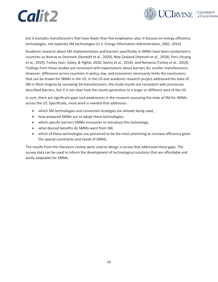![](_page_24_Picture_0.jpeg)

![](_page_24_Picture_1.jpeg)

but it excludes manufacturers that have fewer than five employees; also, it focuses on energy efficiency technologies, not explicitly SM technologies (U.S. Energy Information Administration, 2002, 2014).

Academic research about SM implementation and barriers specifically in SMMs have been conducted in countries as diverse as Denmark (Stentoft et al., 2020), New Zealand (Hamzeh et al., 2018), Peru (Huang et al., 2019), Turkey (Sarı, Güleş, & Yiğitol, 2020; Sevinç et al., 2018), and Romania (Türkeș et al., 2019). Findings from these studies are consistent with expectations about barriers for smaller manufacturers. However, difference across countries in policy, law, and economics necessarily limits the conclusions that can be drawn for SMMs in the US. In the US one academic research project addressed the state of SM in West Virginia by surveying 54 manufacturers; the study results are consistent with previously described barriers, but it is not clear how the results generalize to a larger or different area of the US.

In sum, there are significant gaps and weaknesses in the research assessing the state of SM for SMMs across the US. Specifically, more work is needed that addresses:

- which SM technologies and connected strategies are already being used,
- how prepared SMMs are to adopt these technologies,
- which specific barriers SMMs encounter to introduce this technology,
- what desired benefits do SMMs want from SM,
- which of these technologies are perceived to be the most promising to increase efficiency given the special constraints and needs of SMMs.

The results from this literature review were used to design a survey that addressed these gaps. The survey data can be used to inform the development of technological solutions that are affordable and easily adaptable for SMMs.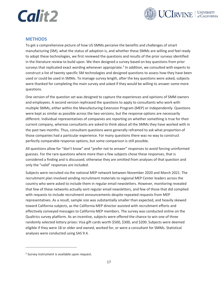![](_page_25_Picture_0.jpeg)

![](_page_25_Picture_1.jpeg)

#### <span id="page-25-0"></span>**METHODS**

To get a comprehensive picture of how US SMMs perceive the benefits and challenges of smart manufacturing (SM), what the status of adoption is, and whether these SMMs are willing and feel ready to adopt these technologies, we first reviewed the questions and results of the prior surveys identified in the literature review to build upon. We then designed a survey based on key questions from prior surveys that replicated exact wording whenever appropriate.<sup>2</sup> In addition, we consulted with experts to construct a list of twenty specific SM technologies and designed questions to assess how they have been used or could be used in SMMs. To manage survey length, after the key questions were asked, subjects were thanked for completing the main survey and asked if they would be willing to answer some more questions.

One version of the question set was designed to capture the experiences and opinions of SMM owners and employees. A second version rephrased the questions to apply to consultants who work with multiple SMMs, either within the Manufacturing Extension Program (MEP) or independently. Questions were kept as similar as possible across the two versions, but the response options are necessarily different. Individual representatives of companies are reporting on whether something is true for their current company, whereas consultants are asked to think about all the SMMs they have worked with in the past two months. Thus, consultant questions were generally reframed to ask what proportion of those companies had a particular experience. For many questions there was no way to construct perfectly comparable response options, but some comparison is still possible.

All questions allow for "don't know" and "prefer not to answer" responses to avoid forcing uninformed guesses. For the rare questions where more than a few subjects chose these responses, that is considered a finding and is discussed; otherwise they are omitted from analyses of that question and only the "valid" responses are included.

Subjects were recruited via the national MEP network between November 2020 and March 2021. The recruitment plan involved sending recruitment materials to regional MEP Center leaders across the country who were asked to include them in regular email newsletters. However, monitoring revealed that few of these networks actually sent regular email newsletters, and few of those that did complied with requests to include recruitment announcements despite repeated requests from MEP representatives. As a result, sample size was substantially smaller than expected, and heavily skewed toward California subjects, as the California MEP director assisted with recruitment efforts and effectively conveyed messages to California MEP members. The survey was conducted online on the Qualtrics survey platform. As an incentive, subjects were offered the chance to win one of three randomly selected lottery prizes: Visa gift cards worth \$500, \$300, and \$200. Subjects were deemed eligible if they were 18 or older and owned, worked for, or were a consultant for SMMs. Statistical analyses were conducted using SAS 9.4.

<sup>&</sup>lt;sup>2</sup> Survey instrument is available upon request.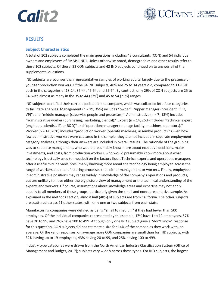![](_page_26_Picture_0.jpeg)

![](_page_26_Picture_1.jpeg)

### <span id="page-26-0"></span>**RESULTS**

### <span id="page-26-1"></span>**Subject Characteristics**

A total of 102 subjects completed the main questions, including 48 consultants (CON) and 54 individual owners and employees of SMMs (IND). Unless otherwise noted, demographics and other results refer to these 102 subjects. Of these, 32 CON subjects and 42 IND subjects continued on to answer all of the supplemental questions.

IND subjects are younger than representative samples of working adults, largely due to the presence of younger production workers. Of the 54 IND subjects, 48% are 25 to 34 years old, compared to 11-15% each in the categories of 18-24, 35-44, 45-54, and 55-64. By contrast, only 29% of CON subjects are 25 to 34, with almost as many in the 35 to 44 (27%) and 45 to 54 (21%) ranges.

IND subjects identified their current position in the company, which was collapsed into four categories to facilitate analyses. Management (n = 19; 35%) includes "owner", "upper manager (president, CEO,  $VP$ , and "middle manager (supervise people and processes)". Administrative (n = 7; 13%) includes "administrative worker (purchasing, marketing, clerical)." Expert (n = 14; 26%) includes "technical expert (engineer, scientist, IT, or R&D)" and "operations manager (manage facility, machines, operators)." Worker (n = 14; 26%) includes "production worker (operate machines, assemble product)." Given how few administrative workers were captured in the sample, they are not included in separate employment category analyses, although their answers are included in overall results. The rationale of the grouping was to separate management, who would presumably know more about executive decisions, major investments, and costs, from production workers, who would presumably know more about what technology is actually used (or needed) on the factory floor. Technical experts and operations managers offer a useful midline view, presumably knowing more about the technology being employed across the range of workers and manufacturing processes than either management or workers. Finally, employees in administrative positions may range widely in knowledge of the company's operations and products, but are unlikely to have either the big picture view of management or the technical understanding of the experts and workers. Of course, assumptions about knowledge areas and expertise may not apply equally to all members of these groups, particularly given the small and nonrepresentative sample. As explained in the methods section, almost half (48%) of subjects are from California. The other subjects are scattered across 21 other states, with only one or two subjects from each state.

Manufacturing companies were defined as being "small to medium" if they had fewer than 500 employees. Of the individual companies represented by this sample, 17% have 1 to 19 employees, 57% have 20 to 99, and 26% have 100 to 499. Although only one IND subject gave a "don't know" response for this question, CON subjects did not estimate a size for 14% of the companies they work with, on average. Of the valid responses, on average more CON companies are small than for IND subjects, with 32% having up to 19 employees, 43% having 20 to 99, and 25% having 100 to 499.

Industry type categories were drawn from the North American Industry Classification System (Office of Management and Budget, 2017); subjects vary widely across these types. For IND subjects, the largest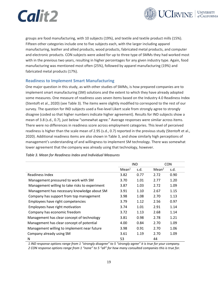![](_page_27_Picture_0.jpeg)

![](_page_27_Picture_1.jpeg)

groups are food manufacturing, with 10 subjects (19%), and textile and textile product mills (15%). Fifteen other categories include one to five subjects each, with the larger including apparel manufacturing, leather and allied products, wood products, fabricated metal products, and computer and electronic products. CON subjects were asked for up to three type of SMMs they had worked most with in the previous two years, resulting in higher percentages for any given industry type. Again, food manufacturing was mentioned most often (25%), followed by apparel manufacturing (19%) and fabricated metal products (17%).

#### <span id="page-27-0"></span>**Readiness to Implement Smart Manufacturing**

One major question in this study, as with other studies of SMMs, is how prepared companies are to implement smart manufacturing (SM) solutions and the extent to which they have already adopted some measures. One measure of readiness uses seven items based on the Industry 4.0 Readiness Index (Stentoft et al., 2020) (see [Table 3\)](#page-27-1). The items were slightly modified to correspond to the rest of our survey. The question for IND subjects used a five-level Likert scale from strongly agree to strongly disagree (coded so that higher numbers indicate higher agreement). Results for IND subjects show a mean of 3.8 (s.d., 0.7), just below "somewhat agree." Average responses were similar across items. There were no differences in readiness score across employment categories. This level of perceived readiness is higher than the scale mean of 2.95 (s.d., 0.7) reported in the previous study (Stentoft et al., 2020). Additional readiness items are also shown in [Table 3,](#page-27-1) and show similarly high perceptions of management's understanding of and willingness to implement SM technology. There was somewhat lower agreement that the company was already using that technology, however.

|                                                | <b>IND</b>        |      | <b>CON</b>        |      |
|------------------------------------------------|-------------------|------|-------------------|------|
|                                                | Mean <sup>1</sup> | s.d. | Mean <sup>2</sup> | s.d. |
| Readiness Index                                | 3.82              | 0.77 | 2.72              | 0.90 |
| Management pressured to work with SM           | 3.70              | 1.01 | 2.77              | 1.20 |
| Management willing to take risks to experiment | 3.87              | 1.03 | 2.72              | 1.09 |
| Management has necessary knowledge about SM    | 3.91              | 1.10 | 2.67              | 1.15 |
| Company has support from top management        | 3.98              | 1.08 | 2.70              | 1.13 |
| Employees have right competencies              | 3.79              | 1.12 | 2.56              | 0.97 |
| Employees have right motivation                | 3.74              | 1.01 | 2.91              | 1.14 |
| Company has economic freedom                   | 3.72              | 1.13 | 2.68              | 1.14 |
| Management has clear concept of technology     | 3.81              | 0.98 | 2.78              | 1.21 |
| Management has clear concept of potential      | 4.00              | 0.84 | 2.70              | 1.09 |
| Management willing to implement near future    | 3.98              | 0.91 | 2.70              | 1.06 |
| Company already using SM                       | 3.61              | 1.19 | 2.70              | 1.09 |
| N                                              | 53                |      | 44                |      |

<span id="page-27-1"></span>*Table 3. Mean for Readiness Index and Individual Measures*

*1 IND response options range from 1 "strongly disagree" to 5 "strongly agree" it is true for your company. 2 CON response options range from 1 "none" to 5 "all" for how many consulted companies this is true for.*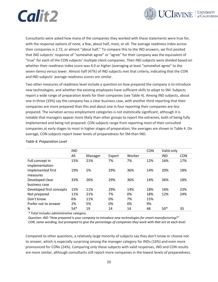![](_page_28_Picture_0.jpeg)

![](_page_28_Picture_1.jpeg)

Consultants were asked how many of the companies they worked with these statements were true for, with the response options of none, a few, about half, most, or all. The average readiness index across their companies is 2.72, or almost "about half." To compare this to the IND answers, we first posited that IND subjects' response of "somewhat agree" or "agree" for their company was the equivalent of "true" for each of the CON subjects' multiple client companies. Then IND subjects were divided based on whether their readiness index score was 4.0 or higher (averaging at least "somewhat agree" to the seven items) versus lower. Almost half (47%) of IND subjects met that criteria, indicating that the CON and IND subjects' average readiness scores are similar.

Two other measures of readiness level include a question on how prepared the company is to introduce new technologies, and whether the existing employees have sufficient skills to adapt to SM. Subjects report a wide range of preparation levels for their companies (see [Table 4\)](#page-28-0). Among IND subjects, about one in three (33%) say the company has a clear business case, with another third reporting that their companies are more prepared than this and about one in four reporting their companies are less prepared. The variation across employment categories is not statistically significant, although it is notable that managers appear more likely than other groups to report the extremes, both of being fully implemented and being not prepared. CON subjects range from reporting most of their consulted companies at early stages to most in higher stages of preparation; the averages are shown in [Table 4.](#page-28-0) On average, CON subjects report lower levels of preparedness for SM than IND.

|                                   | <b>IND</b> |         |        |        | <b>CON</b> | Valid only |            |
|-----------------------------------|------------|---------|--------|--------|------------|------------|------------|
|                                   | All        | Manager | Expert | Worker |            | <b>IND</b> | <b>CON</b> |
| Full concept in<br>implementation | 15%        | 21%     | 7%     | 7%     | 12%        | 16%        | 17%        |
| Implemented first<br>measures     | 19%        | 5%      | 29%    | 36%    | 14%        | 20%        | 18%        |
| Developed clear<br>business case  | 33%        | 26%     | 29%    | 36%    | 14%        | 36%        | 18%        |
| Developed first concepts          | 15%        | 11%     | 29%    | 14%    | 18%        | 16%        | 23%        |
| Not prepared                      | 11%        | 21%     | 7%     | 0%     | 18%        | 12%        | 24%        |
| Don't know                        | 6%         | 11%     | 0%     | 7%     | 15%        |            |            |
| Prefer not to answer              | 2%         | 5%      | 0%     | 0%     | 9%         |            |            |
| N                                 | $54*$      | 19      | 14     | 14     | 48         | $50*$      | 35         |

#### <span id="page-28-0"></span>*Table 4. Preparation Level*

*\* Total includes administrative category.*

*Question: IND "How prepared is your company to introduce new technologies for smart manufacturing?" CON, same wording, but prompted to give the percentage of companies they work with that are at each level.*

Compared to other questions, a relatively large minority of subjects say they don't know or choose not to answer, which is especially surprising among the manager category for INDs (16%) and even more pronounced for CONs (24%). Comparing only those subjects with valid responses, IND and CON results are more similar, although consultants still report more companies in the lowest levels of preparedness.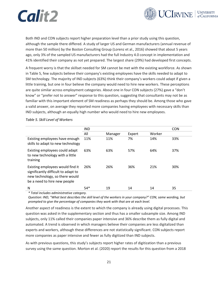![](_page_29_Picture_0.jpeg)

![](_page_29_Picture_1.jpeg)

Both IND and CON subjects report higher preparation level than a prior study using this question, although the sample there differed. A study of larger US and German manufacturers (annual revenue of more than 50 million) by the Boston Consulting Group (Lorenz et al., 2016) showed that about 5 years ago, only 3% of the sampled US manufacturers had the full Industry 4.0 concept in implementation and 41% identified their company as not yet prepared. The largest share (29%) had developed first concepts.

A frequent worry is that the skillset needed for SM cannot be met with the existing workforce. As shown in [Table 5](#page-29-0), few subjects believe their company's existing employees have the skills needed to adapt to SM technology. The majority of IND subjects (63%) think their company's workers could adapt if given a little training, but one in four believe the company would need to hire new workers. These perceptions are quite similar across employment categories. About one in four CON subjects (27%) gave a "don't know" or "prefer not to answer" response to this question, suggesting that consultants may not be as familiar with this important element of SM readiness as perhaps they should be. Among those who gave a valid answer, on average they reported more companies having employees with necessary skills than IND subjects, although an equally high number who would need to hire new employees.

<span id="page-29-0"></span>*Table 5. Skill Level of Workers*

|                                                                                                                                           | <b>IND</b> |         |        |        | <b>CON</b> |
|-------------------------------------------------------------------------------------------------------------------------------------------|------------|---------|--------|--------|------------|
|                                                                                                                                           | All        | Manager | Expert | Worker |            |
| Existing employees have enough<br>skills to adapt to new technology                                                                       | 11%        | 11%     | 7%     | 14%    | 33%        |
| Existing employees could adapt<br>to new technology with a little<br>training                                                             | 63%        | 63%     | 57%    | 64%    | 37%        |
| Existing employees would find it<br>significantly difficult to adapt to<br>new technology, so there would<br>be a need to hire new people | 26%        | 26%     | 36%    | 21%    | 30%        |
| N                                                                                                                                         | $54*$      | 19      | 14     | 14     | 35         |

*\* Total includes administrative category.*

*Question: IND, "What best describes the skill level of the workers in your company?" CON, same wording, but prompted to give the percentage of companies they work with that are at each level.*

Another aspect of readiness is the extent to which the company is already using digital processes. This question was asked in the supplementary section and thus has a smaller subsample size. Among IND subjects, only 11% called their companies paper intensive and 36% describe them as fully digital and automated. A trend is observed in which managers believe their companies are less digitalized than experts and workers, although these differences are not statistically significant. CON subjects report more companies as paper intensive and fewer as fully digitized than IND subjects.

As with previous questions, this study's subjects report higher rates of digitization than a previous survey using the same question. Morton et al. (2020) report the results for this question from a 2018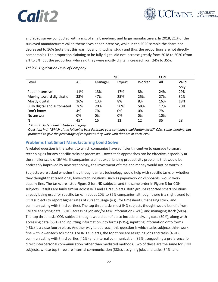![](_page_30_Picture_0.jpeg)

![](_page_30_Picture_1.jpeg)

and 2020 survey conducted with a mix of small, medium, and large manufacturers. In 2018, 21% of the surveyed manufacturers called themselves paper intensive, while in the 2020 sample the share had decreased to 16% (note that this was not a longitudinal study and thus the proportions are not directly comparable). The proportion claiming to be fully digital did not increase greatly from 2018 to 2020 (from 2% to 6%) but the proportion who said they were mostly digital increased from 24% to 35%.

#### <span id="page-30-1"></span>*Table 6. Digitization Level of Company*

|                             |     |         | <b>IND</b> | <b>CON</b> |     |       |
|-----------------------------|-----|---------|------------|------------|-----|-------|
| Level                       | All | Manager | Expert     | Worker     | All | Valid |
|                             |     |         |            |            |     | only  |
| Paper intensive             | 11% | 13%     | 17%        | 8%         | 24% | 29%   |
| Moving toward digitization  | 33% | 47%     | 25%        | 25%        | 27% | 32%   |
| Mostly digital              | 16% | 13%     | 8%         | 8%         | 16% | 18%   |
| Fully digital and automated | 36% | 20%     | 50%        | 58%        | 17% | 20%   |
| Don't know                  | 4%  | 7%      | 0%         | 0%         | 7%  |       |
| No answer                   | 0%  | 0%      | 0%         | 0%         | 10% |       |
| N                           | 45* | 15      | 12         | 12         | 35  | 28    |

*\* Total includes administrative category.*

*Question: Ind, "Which of the following best describes your company's digitization level?" CON, same wording, but prompted to give the percentage of companies they work with that are at each level.*

### <span id="page-30-0"></span>**Problems that Smart Manufacturing Could Solve**

A related question is the extent to which companies have sufficient incentive to upgrade to smart technologies for any specific tasks or processes. Lower-tech approaches can be effective, especially at the smaller scale of SMMs. If companies are not experiencing productivity problems that would be noticeably improved by new technology, the investment of time and money would not be worth it.

Subjects were asked whether they thought smart technology would help with specific tasks or whether they thought that traditional, lower-tech solutions, such as paperwork on clipboards, would work equally fine. The tasks are listed [Figure 2](#page-31-0) for IND subjects, and the same order in [Figure 3](#page-31-1) for CON subjects. Results are fairly similar across IND and CON subjects. Both groups reported smart solutions already being used for specific tasks in about 20% to 35% companies, although there is a slight trend for CON subjects to report higher rates of current usage (e.g., for timesheets, managing stock, and communicating with third parties). The top three tasks most IND subjects thought would benefit from SM are analyzing data (60%), accessing job and/or task information (54%), and managing stock (50%). The top three tasks CON subjects thought would benefit also include analyzing data (50%), along with accessing data (53%) and inputting information into forms (53%); inputting information onto forms (48%) is a close fourth place. Another way to approach this question is which tasks subjects think work fine with lower-tech solutions. For IND subjects, the top three are assigning jobs and tasks (43%), communicating with third parties (41%) and internal communication (35%), suggesting a preference for direct interpersonal communication rather than mediated methods. Two of these are the same for CON subjects, whose top three are internal communication (38%), assigning jobs and tasks (34%) and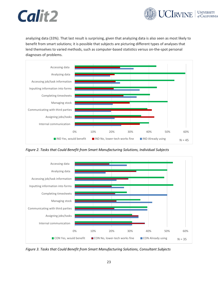![](_page_31_Picture_0.jpeg)

analyzing data (33%). That last result is surprising, given that analyzing data is also seen as most likely to benefit from smart solutions; it is possible that subjects are picturing different types of analyses that lend themselves to varied methods, such as computer-based statistics versus on-the-spot personal diagnoses of problems.

![](_page_31_Figure_3.jpeg)

<span id="page-31-0"></span>*Figure 2. Tasks that Could Benefit from Smart Manufacturing Solutions, Individual Subjects*

![](_page_31_Figure_5.jpeg)

<span id="page-31-1"></span>*Figure 3. Tasks that Could Benefit from Smart Manufacturing Solutions, Consultant Subjects*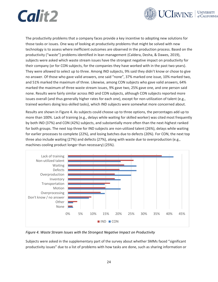![](_page_32_Picture_0.jpeg)

![](_page_32_Picture_1.jpeg)

The productivity problems that a company faces provide a key incentive to adopting new solutions for those tasks or issues. One way of looking at productivity problems that might be solved with new technology is to assess where inefficient outcomes are observed in the production process. Based on the productivity ("waste") problems identified in lean management (Caldera, Desha, & Dawes, 2019), subjects were asked which waste stream issues have the strongest negative impact on productivity for their company (or for CON subjects, for the companies they have worked with in the past two years). They were allowed to select up to three. Among IND subjects, 9% said they didn't know or chose to give no answer. Of those who gave valid answers, one said "none", 37% marked one issue, 10% marked two, and 51% marked the maximum of three. Likewise, among CON subjects who gave valid answers, 64% marked the maximum of three waste stream issues, 9% gave two, 25% gave one, and one person said none. Results were fairly similar across IND and CON subjects, although CON subjects reported more issues overall (and thus generally higher rates for each one), except for non-utilization of talent (e.g., trained workers doing less-skilled tasks), which IND subjects were somewhat more concerned about.

Results are shown i[n Figure 4.](#page-32-0) As subjects could choose up to three options, the percentages add up to more than 100%. Lack of training (e.g., delays while waiting for skilled worker) was cited most frequently by both IND (37%) and CON (42%) subjects, and substantially more often than the next-highest ranked for both groups. The next top three for IND subjects are non-utilized talent (26%), delays while waiting for earlier processes to complete (22%), and losing batches due to defects (20%). For CON, the next top three also include waiting (27%) and defects (27%), along with waste due to overproduction (e.g., machines cooling product longer than necessary) (25%).

![](_page_32_Figure_4.jpeg)

<span id="page-32-0"></span>*Figure 4. Waste Stream Issues with the Strongest Negative Impact on Productivity*

Subjects were asked in the supplementary part of the survey about whether SMMs faced "significant productivity issues" due to a list of problems with how tasks are done, such as sharing information or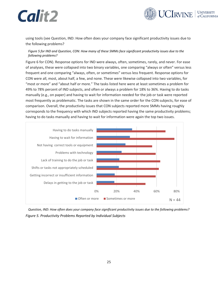![](_page_33_Picture_1.jpeg)

using tools (see Question, [IND: How often does your company](#page-33-1) face significant productivity issues due to [the following problems?](#page-33-1)

#### *[Figure 5](#page-33-1) for IND and [Question, CON: How many of these SMMs face significant productivity issues due to the](#page-34-2)  [following problems?](#page-34-2)*

[Figure 6](#page-34-2) for CON). Response options for IND were always, often, sometimes, rarely, and never. For ease of analyses, these were collapsed into two binary variables, one comparing "always or often" versus less frequent and one comparing "always, often, or sometimes" versus less frequent. Response options for CON were all, most, about half, a few, and none. These were likewise collapsed into two variables, for "most or more" and "about half or more." The tasks listed here were at least sometimes a problem for 49% to 78% percent of IND subjects, and often or always a problem for 18% to 36%. Having to do tasks manually (e.g., on paper) and having to wait for information needed for the job or task were reported most frequently as problematic. The tasks are shown in the same order for the CON subjects, for ease of comparison. Overall, the productivity issues that CON subjects reported more SMMs having roughly corresponds to the frequency with which IND subjects reported having the same productivity problems; having to do tasks manually and having to wait for information were again the top two issues.

![](_page_33_Figure_5.jpeg)

<span id="page-33-1"></span><span id="page-33-0"></span>*Question, IND: How often does your company face significant productivity issues due to the following problems? Figure 5. Productivity Problems Reported by Individual Subjects*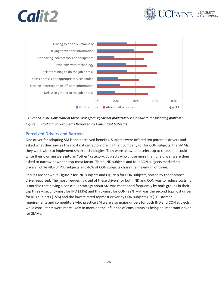![](_page_34_Picture_0.jpeg)

![](_page_34_Picture_1.jpeg)

![](_page_34_Figure_2.jpeg)

<span id="page-34-2"></span><span id="page-34-1"></span>*Question, CON: How many of these SMMs face significant productivity issues due to the following problems? Figure 6. Productivity Problems Reported by Consultant Subjects*

### <span id="page-34-0"></span>**Perceived Drivers and Barriers**

One driver for adopting SM is the perceived benefits. Subjects were offered ten potential drivers and asked what they saw as the most critical factors driving their company (or for CON subjects, the SMMs they work with) to implement smart technologies. They were allowed to select up to three, and could write their own answers into an "other" category. Subjects who chose more than one driver were then asked to narrow down the top-most factor. Three IND subjects and four CON subjects marked no drivers, while 48% of IND subjects and 46% of CON subjects chose the maximum of three.

Results are shown i[n Figure 7](#page-35-0) for IND subjects and [Figure 8](#page-35-1) for CON subjects, sorted by the topmost driver reported. The most frequently cited of these drivers for both IND and CON was to reduce costs. It is notable that having a conscious strategy about SM was mentioned frequently by both groups in their top three – second-most for IND (33%) and third-most for CON (29%) – it was the second topmost driver for IND subjects (15%) and the lowest rated topmost driver by CON subjects (2%). Customer requirements and competitors who practice SM were also major drivers for both IND and CON subjects, while consultants were more likely to mention the influence of consultants as being an important driver for SMMs.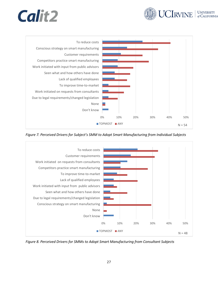![](_page_35_Picture_0.jpeg)

![](_page_35_Picture_1.jpeg)

![](_page_35_Figure_2.jpeg)

<span id="page-35-0"></span>*Figure 7. Perceived Drivers for Subject's SMM to Adopt Smart Manufacturing from Individual Subjects*

![](_page_35_Figure_4.jpeg)

<span id="page-35-1"></span>*Figure 8. Perceived Drivers for SMMs to Adopt Smart Manufacturing from Consultant Subjects*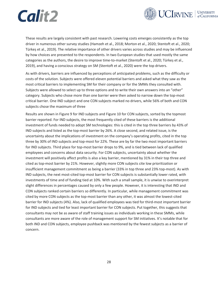![](_page_36_Picture_0.jpeg)

![](_page_36_Picture_1.jpeg)

These results are largely consistent with past research. Lowering costs emerges consistently as the top driver in numerous other survey studies (Hamzeh et al., 2018; Morton et al., 2020; Stentoft et al., 2020; Türkeș et al., 2019). The relative importance of other drivers varies across studies and may be influenced by how choices are presented to the respondents. In two European studies that used mostly the same categories as the authors, the desire to improve time-to-market (Stentoft et al., 2020; Türkeș et al., 2019), and having a conscious strategy on SM (Stentoft et al., 2020) were the top drivers.

As with drivers, barriers are influenced by perceptions of anticipated problems, such as the difficulty or costs of the solution. Subjects were offered eleven potential barriers and asked what they saw as the most critical barriers to implementing SM for their company or for the SMMs they consulted with. Subjects were allowed to select up to three options and to write their own answers into an "other" category. Subjects who chose more than one barrier were then asked to narrow down the top-most critical barrier. One IND subject and one CON subjects marked no drivers, while 56% of both and CON subjects chose the maximum of three

Results are shown i[n Figure 9](#page-37-0) for IND subjects and [Figure 10](#page-37-1) for CON subjects, sorted by the topmost barrier reported. For IND subjects, the most frequently cited of these barriers is the additional investment of funds needed to adopt SM technologies: this is cited in the top three barriers by 43% of IND subjects and listed as the top-most barrier by 26%. A close second, and related issue, is the uncertainty about the implications of investment on the company's operating profits, cited in the top three by 30% of IND subjects and top-most for 22%. These are by far the two most important barriers for IND subjects. Third place for top-most barrier drops to 9%, and is tied between lack of qualified employees and concerns about data security. For CON subjects, uncertainty about whether the investment will positively affect profits is also a key barrier, mentioned by 31% in their top three and cited as top-most barrier by 21%. However, slightly more CON subjects cite low prioritization or insufficient management commitment as being a barrier (33% in top three and 23% top-most). As with IND subjects, the next most-cited top-most barrier for CON subjects is substantially lower rated, with investments of time and of funding tied at 10%. With such a small sample, it is unwise to overinterpret slight differences in percentages caused by only a few people. However, it is interesting that IND and CON subjects ranked certain barriers so differently. In particular, while management commitment was cited by more CON subjects as the top-most barrier than any other, it was almost the lowest-cited barrier for IND subjects (4%). Also, lack of qualified employees was tied for third-most important barrier for IND subjects and tied for least important barrier for CON subjects. Put together, this suggests that consultants may not be as aware of staff training issues as individuals working in these SMMs, while consultants are more aware of the role of management support for SM initiatives. It's notable that for both IND and CON subjects, employee pushback was mentioned by the fewest subjects as a barrier of concern.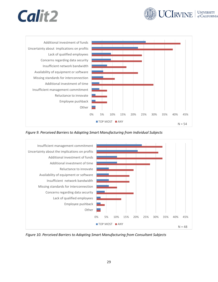![](_page_37_Picture_0.jpeg)

![](_page_37_Picture_1.jpeg)

![](_page_37_Figure_2.jpeg)

<span id="page-37-0"></span>*Figure 9. Perceived Barriers to Adopting Smart Manufacturing from Individual Subjects*

![](_page_37_Figure_4.jpeg)

<span id="page-37-1"></span>*Figure 10. Perceived Barriers to Adopting Smart Manufacturing from Consultant Subjects*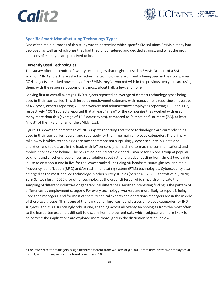![](_page_38_Picture_0.jpeg)

![](_page_38_Picture_1.jpeg)

### <span id="page-38-0"></span>**Specific Smart Manufacturing Technology Types**

One of the main purposes of this study was to determine which specific SM solutions SMMs already had deployed, as well as which ones they had tried or considered and decided against, and what the pros and cons of each type are perceived to be.

#### <span id="page-38-1"></span>**Currently Used Technologies**

The survey offered a choice of twenty technologies that might be used in SMMs "as part of a SM solution." IND subjects are asked whether the technologies are currently being used in their companies. CON subjects are asked how many of the SMMs they've worked with in the previous two years are using them, with the response options of all, most, about half, a few, and none.

Looking first at overall averages, IND subjects reported an average of 8 smart technology types being used in their companies. This differed by employment category, with management reporting an average of 4.7 types, experts reporting 7.9, and workers and administrative employees reporting 11.1 and 11.3, respectively.<sup>3</sup> CON subjects reported that at least "a few" of the companies they worked with used many more than this (average of 14.6 across types), compared to "almost half" or more (7.5), at least "most" of them (3.5), or all of the SMMs (1.2).

[Figure 11](#page-39-0) shows the percentage of IND subjects reporting that these technologies are currently being used in their companies, overall and separately for the three main employee categories. The primary take-away is which technologies are most common: not surprisingly, cyber-security, big data and analytics, and tablets are in the lead, with IoT sensors (and machine-to-machine communications) and mobile phones close behind. The results do not indicate a clear division between one group of popular solutions and another group of less-used solutions, but rather a gradual decline from almost two-thirds in use to only about one in five for the lowest ranked, including VR headsets, smart glasses, and radiofrequency identification (RFID) and/or real-time locating system (RTLS) technologies. Cybersecurity also emerged as the most-applied technology in other survey studies (Sarı et al., 2020; Stentoft et al., 2020; Yu & Schweisfurth, 2020); for other technologies the order differed, which may also indicate the sampling of different industries or geographical differences. Another interesting finding is the pattern of differences by employment category. For every technology, workers are more likely to report it being used than managers, and for most of them, technical experts and operations managers are in the middle of these two groups. This is one of the few clear differences found across employee categories for IND subjects, and it is a surprisingly robust one, spanning across all twenty technologies from the most often to the least often used. It is difficult to discern from the current data which subjects are more likely to be correct; the implications are explored more thoroughly in the discussion section, below.

<sup>&</sup>lt;sup>3</sup> The lower rate for managers is significantly different from workers at  $p < .001$ , from administrative employees at *p* < .01, and from experts at the trend level of *p* < .10.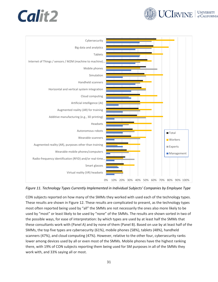![](_page_39_Picture_1.jpeg)

![](_page_39_Figure_2.jpeg)

<span id="page-39-0"></span>*Figure 11. Technology Types Currently Implemented in Individual Subjects' Companies by Employee Type*

CON subjects reported on how many of the SMMs they worked with used each of the technology types. These results are shown in [Figure 12.](#page-40-0) These results are complicated to present, as the technology types most often reported being used by "all" the SMMs are not necessarily the ones also more likely to be used by "most" or least likely to be used by "none" of the SMMs. The results are shown sorted in two of the possible ways, for ease of interpretation: by which types are used by at least half the SMMs that these consultants work with (Panel A) and by none of them (Panel B). Based on use by at least half of the SMMs, the top five types are cybersecurity (61%), mobile phones (58%), tablets (48%), handheld scanners (47%), and cloud computing (47%). However, relative to the other four, cybersecurity ranks lower among devices used by all or even most of the SMMs. Mobile phones have the highest ranking there, with 19% of CON subjects reporting them being used for SM purposes in all of the SMMs they work with, and 33% saying all or most.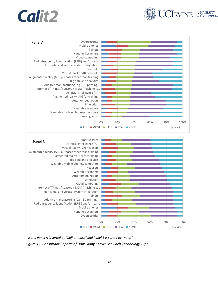![](_page_40_Picture_1.jpeg)

![](_page_40_Figure_2.jpeg)

*Note: Panel A is sorted by "half or more" and Panel B is sorted by "none".*

<span id="page-40-0"></span>*Figure 12. Consultant Reports of How Many SMMs Use Each Technology Type*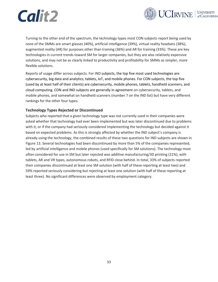![](_page_41_Picture_0.jpeg)

![](_page_41_Picture_1.jpeg)

Turning to the other end of the spectrum, the technology types most CON subjects report being used by *none* of the SMMs are smart glasses (40%), artificial intelligence (39%), virtual reality headsets (38%), augmented reality (AR) for purposes other than training (36%) and AR for training (33%). These are key technologies in current trends toward SM for larger companies, but they are also relatively expensive solutions, and may not be as clearly linked to productivity and profitability for SMMs as simpler, more flexible solutions.

Reports of usage differ across subjects. For IND subjects, the top five most used technologies are cybersecurity, big data and analytics, tablets, IoT, and mobile phones. For CON subjects, the top five (used by at least half of their clients) are cybersecurity, mobile phones, tablets, handheld scanners, and cloud computing. CON and IND subjects are generally in agreement on cybersecurity, tablets, and mobile phones, and somewhat on handheld scanners (number 7 on the IND list) but have very different rankings for the other four types.

#### <span id="page-41-0"></span>**Technology Types Rejected or Discontinued**

Subjects who reported that a given technology type was not currently used in their companies were asked whether that technology had ever been implemented but was later discontinued due to problems with it, or if the company had seriously considered implementing the technology but decided against it based on expected problems. As this is strongly affected by whether the IND subject's company is already using the technology, the combined results of these two questions for IND subjects are shown in Figure 13. Several technologies had been discontinued by more than 5% of the companies represented, led by artificial intelligence and mobile phones (used specifically for SM solutions). The technology most often considered for use in SM but later rejected was additive manufacturing/3D printing (21%), with tablets, AR and VR types, autonomous robots, and RFID close behind. In total, 33% of subjects reported their companies discontinued at least one SM solution (with half of these reporting at least two) and 59% reported seriously considering but rejecting at least one solution (with half of these reporting at least three). No significant differences were observed by employment category.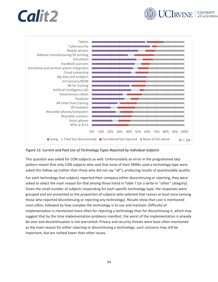![](_page_42_Picture_0.jpeg)

![](_page_42_Picture_1.jpeg)

![](_page_42_Figure_2.jpeg)

<span id="page-42-0"></span>*Figure 13. Current and Past Use of Technology Types Reported by Individual Subjects*

This question was asked for CON subjects as well. Unfortunately an error in the programmed skip pattern meant that only CON subjects who said that none of their SMMs used a technology type were asked this follow-up (rather than those who did not say "all"), producing results of questionable quality.

For each technology that subjects reported their company either discontinuing or rejecting, they were asked to select the main reason for that among those listed in [Table 7](#page-43-1) (or a write-in "other" category). Given the small number of subjects responding for each specific technology type, the responses were grouped and are presented as the proportion of subjects who selected that reason at least once (among those who reported discontinuing or rejecting any technology). Results show that cost is mentioned most often, followed by how complex the technology is to use and maintain. Difficulty of implementation is mentioned more often for rejecting a technology than for discontinuing it, which may suggest that by the time implementation problems manifest, the worst of the implementation is already be over and discontinuation is not warranted. Privacy and security threats were least often mentioned as the main reason for either rejecting or discontinuing a technology; such concerns may still be important, but are ranked lower than other issues.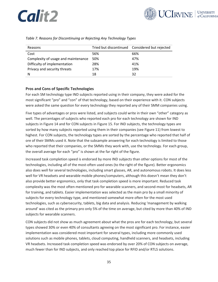![](_page_43_Picture_1.jpeg)

| Reasons                             |     | Tried but discontinued Considered but rejected |
|-------------------------------------|-----|------------------------------------------------|
| Cost                                | 56% | 66%                                            |
| Complexity of usage and maintenance | 50% | 47%                                            |
| Difficulty of implementation        | 28% | 41%                                            |
| Privacy and security threats        | 17% | 19%                                            |
| N                                   | 18  | 32                                             |

<span id="page-43-1"></span>*Table 7. Reasons for Discontinuing or Rejecting Any Technology Types*

#### <span id="page-43-0"></span>**Pros and Cons of Specific Technologies**

For each SM technology type IND subjects reported using in their company, they were asked for the most significant "pro" and "con" of that technology, based on their experience with it. CON subjects were asked the same question for every technology they reported any of their SMM companies using.

Five types of advantages or pros were listed, and subjects could write in their own "other" category as well. The percentages of subjects who reported each pro for each technology are shown for IND subjects in [Figure 14](#page-44-0) and for CON subjects in [Figure 15.](#page-45-0) For IND subjects, the technology types are sorted by how many subjects reported using them in their companies (see [Figure 11\)](#page-39-0) from lowest to highest. For CON subjects, the technology types are sorted by the percentage who reported that half of ore of their SMMs used it. Note that the subsample answering for each technology is limited to those who reported that their companies, or the SMMs they work with, use the technology. For each group, the overall average for each "pro" is shown at the far right of the figure.

Increased task completion speed is endorsed by more IND subjects than other options for most of the technologies, including all of the most-often used ones (to the right of the figure). Better ergonomics also does well for several technologies, including smart glasses, AR, and autonomous robots. It does less well for VR headsets and wearable mobile phones/computers, although this doesn't mean they don't also provide better ergonomics, only that task completion speed is more important. Reduced task complexity was the most often mentioned pro for wearable scanners, and second-most for headsets, AR for training, and tablets. Easier implementation was selected as the main pro by a small minority of subjects for every technology type, and mentioned somewhat more often for the most used technologies, such as cybersecurity, tablets, big data and analysis. Reducing 'management by walking around' was cited as the primary pro only 5% of the time on average, but cited by more than 40% of IND subjects for wearable scanners.

CON subjects did not show as much agreement about what the pros are for each technology, but several types showed 30% or even 40% of consultants agreeing on the most significant pro. For instance, easier implementation was considered most important for several types, including more commonly used solutions such as mobile phones, tablets, cloud computing, handheld scanners, and headsets, including VR headsets. Increased task completion speed was endorsed by over 20% of CON subjects on average, much fewer than for IND subjects, and only reached top place for RFID and/or RTLS solutions.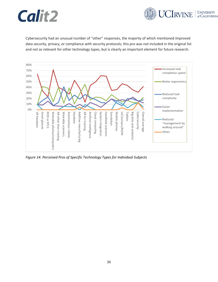![](_page_44_Picture_0.jpeg)

![](_page_44_Picture_1.jpeg)

Cybersecurity had an unusual number of "other" responses, the majority of which mentioned improved data security, privacy, or compliance with security protocols; this pro was not included in the original list and not as relevant for other technology types, but is clearly an important element for future research.

![](_page_44_Figure_3.jpeg)

<span id="page-44-0"></span>*Figure 14. Perceived Pros of Specific Technology Types for Individual Subjects*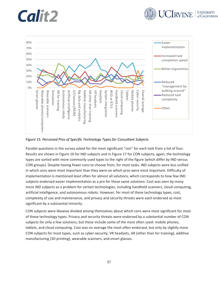![](_page_45_Picture_0.jpeg)

![](_page_45_Picture_1.jpeg)

![](_page_45_Figure_2.jpeg)

<span id="page-45-0"></span>*Figure 15. Perceived Pros of Specific Technology Types for Consultant Subjects*

Parallel questions in the survey asked for the most significant "con" for each task from a list of four. Results are shown i[n Figure 16](#page-46-0) for IND subjects and in [Figure 17](#page-46-1) for CON subjects; again, the technology types are sorted with more commonly used types to the right of the figure (which differ by IND versus CON groups). Despite having fewer cons to choose from, for most tasks, IND subjects were less unified in which cons were most important than they were on which pros were most important. Difficulty of implementation is mentioned least often for almost all solutions, which corresponds to how few IND subjects endorsed easier implementation as a pro for these same solutions. Cost was seen by many more IND subjects as a problem for certain technologies, including handheld scanners, cloud computing, artificial intelligence, and autonomous robots. However, for most of these technology types, cost, complexity of use and maintenance, and privacy and security threats were each endorsed as most significant by a substantial minority.

CON subjects were likewise divided among themselves about which cons were most significant for most of these technology types. Privacy and security threats were endorsed by a substantial number of CON subjects for only a few solutions, but these include some of the most often used: mobile phones, tablets, and cloud computing. Cost was on average the most often endorsed, but only by slightly more CON subjects for most types, such as cyber-security, VR headsets, AR (other than for training), additive manufacturing (3D printing), wearable scanners, and smart glasses.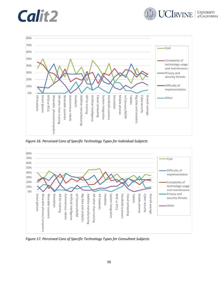![](_page_46_Picture_0.jpeg)

![](_page_46_Picture_1.jpeg)

![](_page_46_Figure_2.jpeg)

<span id="page-46-0"></span>*Figure 16. Perceived Cons of Specific Technology Types for Individual Subjects*

![](_page_46_Figure_4.jpeg)

<span id="page-46-1"></span>*Figure 17. Perceived Cons of Specific Technology Types for Consultant Subjects*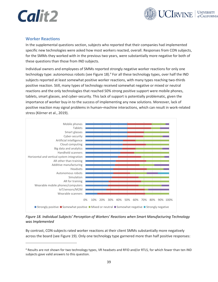![](_page_47_Picture_0.jpeg)

![](_page_47_Picture_1.jpeg)

### <span id="page-47-0"></span>**Worker Reactions**

In the supplemental questions section, subjects who reported that their companies had implemented specific new technologies were asked how most workers reacted, overall. Responses from CON subjects, for the SMMs they worked with in the previous two years, were substantially more negative for both of these questions than those from IND subjects.

Individual owners and employees of SMMs reported strongly negative worker reactions for only one technology type: autonomous robots (se[e Figure 18\)](#page-47-1).<sup>4</sup> For all these technology types, over half the IND subjects reported at least somewhat positive worker reactions, with many types reaching two-thirds positive reaction. Still, many types of technology received somewhat negative or mixed or neutral reactions and the only technologies that reached 50% strong positive support were mobile phones, tablets, smart glasses, and cyber-security. This lack of support is potentially problematic, given the importance of worker buy-in to the success of implementing any new solutions. Moreover, lack of positive reaction may signal problems in human–machine interactions, which can result in work-related stress (Körner et al., 2019).

![](_page_47_Figure_5.jpeg)

<span id="page-47-1"></span>*Figure 18. Individual Subjects' Perception of Workers' Reactions when Smart Manufacturing Technology was Implemented*

By contrast, CON subjects rated worker reactions at their client SMMs substantially more negatively across the board (see [Figure 19\)](#page-48-0). Only one technology type garnered more than half positive responses:

<sup>4</sup> Results are not shown for two technology types, VR headsets and RFID and/or RTLS, for which fewer than ten IND subjects gave valid answers to this question.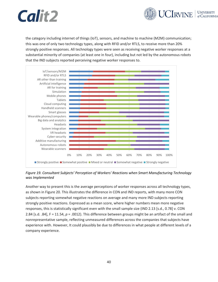![](_page_48_Picture_0.jpeg)

![](_page_48_Picture_1.jpeg)

the category including internet of things (IoT), sensors, and machine to machine (M2M) communication; this was one of only two technology types, along with RFID and/or RTLS, to receive more than 20% strongly positive responses. All technology types were seen as receiving negative worker responses at a substantial minority of companies (at least one in four), including but not led by the autonomous robots that the IND subjects reported perceiving negative worker responses to.

![](_page_48_Figure_3.jpeg)

<span id="page-48-0"></span>*Figure 19. Consultant Subjects' Perception of Workers' Reactions when Smart Manufacturing Technology was Implemented*

Another way to present this is the average perceptions of worker responses across all technology types, as shown in [Figure 20.](#page-49-0) This illustrates the difference in CON and IND reports, with many more CON subjects reporting somewhat negative reactions on average and many more IND subjects reporting strongly positive reactions. Expressed as a mean score, where higher numbers mean more negative responses, this is statistically significant even with the small sample size (IND 2.13 [s.d., 0.78] v. CON 2.84 [s.d. .84], F = 11.54, *p* = .0012). This difference between groups might be an artifact of the small and nonrepresentative sample, reflecting unmeasured differences across the companies that subjects have experience with. However, It could plausibly be due to differences in what people at different levels of a company experience.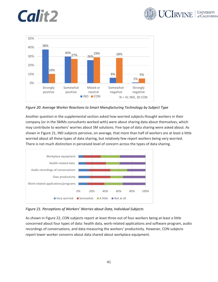![](_page_49_Picture_1.jpeg)

![](_page_49_Figure_2.jpeg)

<span id="page-49-0"></span>*Figure 20. Average Worker Reactions to Smart Manufacturing Technology by Subject Type*

Another question in the supplemental section asked how worried subjects thought workers in their company (or in the SMMs consultants worked with) were about sharing data about themselves, which may contribute to workers' worries about SM solutions. Five type of data sharing were asked about. As shown in [Figure 21,](#page-49-1) IND subjects perceive, on average, that more than half of workers are at least a little worried about all these types of data sharing, but relatively few report workers being very worried. There is not much distinction in perceived level of concern across the types of data sharing.

![](_page_49_Figure_5.jpeg)

<span id="page-49-1"></span>*Figure 21. Perceptions of Workers' Worries about Data, Individual Subjects*

As shown in [Figure 22,](#page-50-1) CON subjects report at least three out of four workers being at least a little concerned about four types of data: health data, work-related applications and software program, audio recordings of conversations, and data measuring the workers' productivity. However, CON subjects report lower worker concerns about data shared about workplace equipment.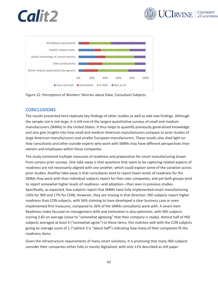![](_page_50_Picture_0.jpeg)

![](_page_50_Picture_1.jpeg)

![](_page_50_Figure_2.jpeg)

<span id="page-50-1"></span>Figure 22. Perceptions of Workers' Worries about Data, Consultant Subjects

### <span id="page-50-0"></span>**CONCLUSIONS**

The results presented here replicate key findings of other studies as well as add new findings. Although the sample size is not large, it is still one of the largest quantitative surveys of small and medium manufacturers (SMMs) in the United States. It thus helps to quantify previously generalized knowledge and also give insights into how small and medium American manufacturers compare to prior studies of large American manufacturers and smaller European manufacturers. These results also shed light on how consultants and other outside experts who work with SMMs may have different perspectives than owners and employees within those companies.

The study contained multiple measures of readiness and preparation for smart manufacturing drawn from various prior surveys. One take-away is that questions that seem to be capturing related aspects of readiness are not necessarily aligned with one another, which could explain some of the variation across prior studies. Another take-away is that consultants tend to report lower levels of readiness for the SMMs they work with than individual subjects report for their own companies, and yet both groups tend to report somewhat higher levels of readiness –and adoption—than seen in previous studies. Specifically, as expected, few subjects report that SMMs have fully implemented smart manufacturing (16% for IND and 17% for CON). However, they are moving in that direction. IND subjects report higher readiness than CON subjects, with 56% claiming to have developed a clear business case or even implemented first measures, compared to 36% of the SMMs consultants work with. A seven-item Readiness Index focused on management skills and motivation is also optimistic, with IND subjects scoring 3.82 on average (close to "somewhat agreeing" that their company is ready). Almost half of IND subjects averaged at least 4 ("somewhat agree") to these items; this matches well with the CON subjects giving an average score of 2.7 (where 3 is "about half") indicating how many of their companies fit the readiness items.

Given the infrastructure requirements of many smart solutions, it is promising that many IND subjects consider their companies either fully or mostly digitalized, with only 11% described as still paper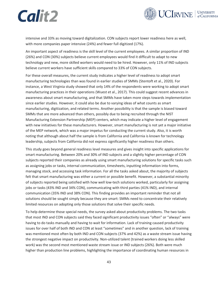![](_page_51_Picture_0.jpeg)

![](_page_51_Picture_1.jpeg)

intensive and 33% as moving toward digitalization. CON subjects report lower readiness here as well, with more companies paper intensive (24%) and fewer full digitized (17%).

An important aspect of readiness is the skill level of the current employees. A similar proportion of IND (26%) and CON (30%) subjects believe current employees would find it difficult to adapt to new technology and new, more skilled workers would need to be hired. However, only 11% of IND subjects believe current workers have sufficient skills compared to 33% of CON subjects.

For these overall measures, the current study indicates a higher level of readiness to adopt smart manufacturing technologies than was found in earlier studies of SMMs (Stentoft et al., 2020). For instance, a West Virginia study showed that only 14% of the respondents were working to adopt smart manufacturing practices in their operations (Wuest et al., 2017). This could suggest recent advances in awareness about smart manufacturing, and that SMMs have taken more steps towards implementation since earlier studies. However, it could also be due to varying ideas of what counts as smart manufacturing, digitization, and related terms. Another possibility is that the sample is biased toward SMMs that are more advanced than others, possibly due to being recruited through the NIST Manufacturing Extension Partnership (MEP) centers, which may indicate a higher level of engagement with new initiatives for these manufacturers. However, smart manufacturing is not yet a major initiative of the MEP network, which was a major impetus for conducting the current study. Also, it is worth noting that although about half the sample is from California and California is known for technology leadership, subjects from California did not express significantly higher readiness than others.

This study goes beyond general readiness level measures and gives insight into specific applications for smart manufacturing. Between 20% and 30% of IND subjects and a slightly higher percentage of CON subjects reported their companies as already using smart manufacturing solutions for specific tasks such as assigning jobs or tasks, internal communication, timesheets, inputting information into forms, managing stock, and accessing task information. For all the tasks asked about, the majority of subjects felt that smart manufacturing was either a current or possible benefit. However, a substantial minority of subjects reported being satisfied with how well low-tech solutions worked, particularly for assigning jobs or tasks (43% IND and 34% CON), communicating with third parties (41% IND), and internal communication (35% IND and 38% CON). This finding provides an important reminder that not all solutions should be sought simply because they are smart: SMMs need to concentrate their relatively limited resources on adopting only those solutions that solve their specific needs.

To help determine those special needs, the survey asked about productivity problems. The two tasks that most IND and CON subjects said they faced significant productivity issues "often" or "always" were having to do tasks manually and having to wait for information. Lack of training caused productivity issues for over half of both IND and CON at least "sometimes" and in another question, lack of training was mentioned most often by both IND and CON subjects (37% and 42%) as a waste stream issue having the strongest negative impact on productivity. Non-utilized talent (trained workers doing less skilled work) was the second most mentioned waste stream issue or IND subjects (26%). Both were much higher than production line problems, highlighting the importance of coordinating human resources in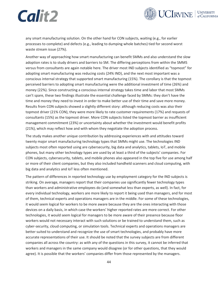![](_page_52_Picture_1.jpeg)

any smart manufacturing solution. On the other hand for CON subjects, waiting (e.g., for earlier processes to complete) and defects (e.g., leading to dumping whole batches) tied for second worst waste stream issue (27%).

Another way of approaching how smart manufacturing can benefit SMMs and also understand the slow adoption rates is to study drivers and barriers to SM. The differing perceptions from within the SMMS versus from consultants are again notable here. The driver most IND subjects identified as "topmost" for adopting smart manufacturing was reducing costs (24% IND), and the next most important was a conscious internal strategy that supported smart manufacturing (15%). The corollary is that the topmost perceived barriers to adopting smart manufacturing were the additional investment of time (26%) and money (22%). Since constructing a conscious internal strategy takes time and labor that most SMMs can't spare, these two findings illustrate the essential challenge faced by SMMs: they don't have the time and money they need to invest in order to make better use of their time and save more money. Results from CON subjects showed a slightly different story: although reducing costs was also their topmost driver (21% CON), they were more likely to rate customer requirements (17%) and requests of consultants (15%) as the topmost driver. More CON subjects listed the topmost barrier as insufficient management commitment (23%) or uncertainty about whether the investment would benefit profits (21%), which may reflect how and with whom they negotiate the adoption process.

The study makes another unique contribution by addressing experiences with and attitudes toward twenty major smart manufacturing technology types that SMMs might use. The technologies IND subjects most often reported using are cybersecurity, big data and analytics, tablets, IoT, and mobile phones, but many other technology types are used by at least a third of the subjects' companies. For CON subjects, cybersecurity, tablets, and mobile phones also appeared in the top five for use among half or more of their client companies, but they also included handheld scanners and cloud computing, with big data and analytics and IoT less often mentioned.

The pattern of differences in reported technology use by employment category for the IND subjects is striking. On average, managers report that their companies use significantly fewer technology types than workers and administrative employees do (and somewhat less than experts, as well). In fact, for every individual technology, workers are more likely to report it being used than managers, and for most of them, technical experts and operations managers are in the middle. For some of these technologies, it would seem logical for workers to be more aware because they are the ones interacting with those devices on a daily basis, in which case the workers' higher reported rates are more correct. For other technologies, it would seem logical for managers to be more aware of their presence because floor workers would not necessary interact with such solutions or be trained to understand them, such as cyber-security, cloud computing, or simulation tools. Technical experts and operations managers are better suited to understand and recognize the use of smart technologies, and probably have more accurate representations of their use. It should be noted that the survey subjects are from different companies all across the country: as with any of the questions in this survey, it cannot be inferred that workers and managers in the same company would disagree (or for other questions, that they would agree). It is possible that the workers' companies differ from those represented by the managers.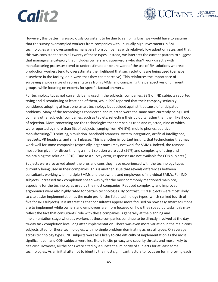![](_page_53_Picture_0.jpeg)

![](_page_53_Picture_1.jpeg)

However, this pattern is suspiciously consistent to be due to sampling bias: we would have to assume that the survey oversampled workers from companies with unusually high investments in SM technologies while oversampling managers from companies with relatively low adoption rates, and that this was consistent across all twenty of these types. Instead, we interpret the current pattern to suggest that managers (a category that includes owners and supervisors who don't work directly with manufacturing processes) tend to underestimate or be unaware of the use of SM solutions whereas production workers tend to overestimate the likelihood that such solutions are being used (perhaps elsewhere in the facility, or in ways that they can't perceive). This reinforces the importance of surveying a wide range of representatives from SMMs, and comparing the perspectives of different groups, while focusing on experts for specific factual answers.

For technology types not currently being used in the subjects' companies, 33% of IND subjects reported trying and discontinuing at least one of them, while 59% reported that their company seriously considered adopting at least one smart technology but decided against it because of anticipated problems. Many of the technologies considered and rejected were the same ones currently being used by many other subjects' companies, such as tablets, reflecting their ubiquity rather than their likelihood of rejection. More concerning are the technologies that companies tried and rejected, nine of which were reported by more than 5% of subjects (ranging from 6%-9%): mobile phones, additive manufacturing/3D printing, simulation, handhold scanners, system integration, artificial intelligence, headsets, VR headsets, and smart glasses. This is another important insight, that technologies that may work well for some companies (especially larger ones) may not work for SMMs. Indeed, the reasons most often given for discontinuing a smart solution were cost (56%) and complexity of using and maintaining the solution (50%). (Due to a survey error, responses are not available for CON subjects.)

Subjects were also asked about the pros and cons they have experienced with the technology types currently being used in their companies. This is another issue that reveals differences between consultants working with multiple SMMs and the owners and employees of individual SMMs. For IND subjects, increased task completion speed was by far the most commonly mentioned main pro, especially for the technologies used by the most companies. Reduced complexity and improved ergonomics were also highly rated for certain technologies. By contrast, CON subjects were most likely to cite easier implementation as the main pro for the listed technology types (which ranked fourth of five for IND subjects). It is interesting that consultants appear more focused on how easy smart solutions are to implement while owners and employees are more focused on how they speed up tasks; this may reflect the fact that consultants' role with these companies is generally at the planning and implementation stage whereas workers at those companies continue to be directly involved at the dayto-day task completion level long after implementation. There was even more variation in the main cons subjects cited for these technologies, with no single problem dominating across all types. On average across technology types, IND subjects were less likely to cite difficulty of implementation as the most significant con and CON subjects were less likely to cite privacy and security threats and most likely to cite cost. However, all the cons were cited by a substantial minority of subjects for at least some technologies. As an initial attempt to identify the most significant factors to focus on for improving each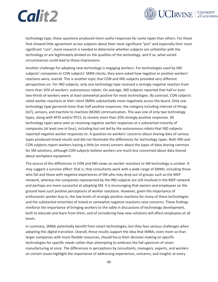![](_page_54_Picture_1.jpeg)

technology type, these questions produced more useful responses for some types than others. For those that showed little agreement across subjects about their most significant "pro" and especially their most significant "con", more research is needed to determine whether subjects are unfamiliar with the technology or are legitimately divided on the qualities of the technology, and if so, what varied circumstances could lead to those impressions.

Another challenge for adopting new technology is engaging workers. For technologies used by IND subjects' companies or CON subjects' SMM clients, they were asked how negative or positive workers' reactions were, overall. This is another topic that CON and IND subjects provided very different perspectives on. For IND subjects, only one technology type received a strongly negative reaction from more than 10% of workers: autonomous robots. On average, IND subjects reported that half or even two-thirds of workers were at least somewhat positive for most technologies. By contrast, CON subjects rated worker reactions at their client SMMs substantially more negatively across the board. Only one technology type garnered more than half positive responses: the category including internet of things (IoT), sensors, and machine to machine (M2M) communication. This was one of only two technology types, along with RFID and/or RTLS, to receive more than 20% strongly positive responses. All technology types were seen as receiving negative worker responses at a substantial minority of companies (at least one in four), including but not led by the autonomous robots that IND subjects reported negative worker responses to. A question on workers' concerns about sharing data of various types produced mixed results and did not illuminate the differences for technology types. Both IND and CON subjects report workers having a little (or more) concern about the types of data sharing common for SM solutions, although CON subjects believe workers are much less concerned about data shared about workplace equipment.

The source of the differences in CON and IND views on worker reactions to SM technology is unclear. It may suggest a survivor effect: that is, that consultants work with a wide range of SMMs, including those who fail and those with negative experiences of SM who may drop out of groups such as the MEP network, whereas the companies represented by the IND subjects are still involved in the MEP network and perhaps are more successful at adopting SM. It is encouraging that owners and employees on the ground have such positive perceptions of worker reactions. However, given the importance of enthusiastic worker buy-in, the low levels of strongly positive reactions for many of these technologies and the substantial minorities of mixed or somewhat negative reactions raise concerns. These findings reinforce the importance of bringing workers to the table in discussions of technology development, both to educate and learn from them, and of considering how new solutions will affect employees at all levels.

In summary, SMMs potentially benefit from smart technologies, but they face serious challenges when adopting this digital transition. Overall, these results support the idea that SMMs, even more so than larger companies with more flexible resources, should focus their decision-making on specific technologies for specific needs rather than attempting to embrace the full spectrum of smart manufacturing at once. The differences in perceptions by consultants, managers, experts, and workers on certain issues highlight the importance of addressing experiences, concerns, and insights at every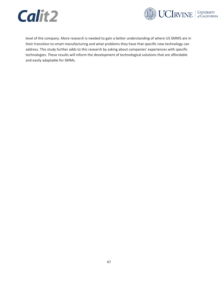![](_page_55_Picture_0.jpeg)

![](_page_55_Picture_1.jpeg)

level of the company. More research is needed to gain a better understanding of where US SMMS are in their transition to smart manufacturing and what problems they have that specific new technology can address. This study further adds to this research by asking about companies' experiences with specific technologies. These results will inform the development of technological solutions that are affordable and easily adaptable for SMMs.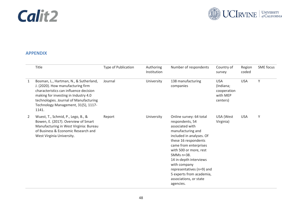![](_page_56_Picture_0.jpeg)

![](_page_56_Picture_1.jpeg)

### **APPENDIX**

<span id="page-56-0"></span>

|                | Title                                                                                                                                                                                                                                                   | <b>Type of Publication</b> | Authoring<br>Institution | Number of respondents                                                                                                                                                                                                                                                                                                                             | Country of<br>survey                                           | Region<br>coded | <b>SME</b> focus |
|----------------|---------------------------------------------------------------------------------------------------------------------------------------------------------------------------------------------------------------------------------------------------------|----------------------------|--------------------------|---------------------------------------------------------------------------------------------------------------------------------------------------------------------------------------------------------------------------------------------------------------------------------------------------------------------------------------------------|----------------------------------------------------------------|-----------------|------------------|
| 1              | Bosman, L., Hartman, N., & Sutherland,<br>J. (2020). How manufacturing firm<br>characteristics can influence decision<br>making for investing in Industry 4.0<br>technologies. Journal of Manufacturing<br>Technology Management, 31(5), 1117-<br>1141. | Journal                    | University               | 138 manufacturing<br>companies                                                                                                                                                                                                                                                                                                                    | <b>USA</b><br>(Indiana;<br>cooperation<br>with MEP<br>centers) | <b>USA</b>      | Y                |
| $\overline{2}$ | Wuest, T., Schmid, P., Lego, B., &<br>Bowen, E. (2017). Overview of Smart<br>Manufacturing in West Virginia: Bureau<br>of Business & Economic Research and<br>West Virginia University.                                                                 | Report                     | University               | Online survey: 64 total<br>respondents, 54<br>associated with<br>manufacturing and<br>included in analyses. Of<br>these 16 respondents<br>came from enterprises<br>with 500 or more, rest<br>SMMs n=38.<br>14 in-depth interviews<br>with company<br>representatives (n=9) and<br>5 experts from academia,<br>associations, or state<br>agencies. | USA (West<br>Virginia)                                         | <b>USA</b>      | Υ                |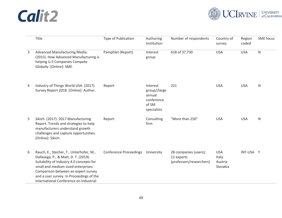![](_page_57_Picture_1.jpeg)

|   | Title                                                                                                                                                                                                                                                                                           | <b>Type of Publication</b>    | Authoring<br>Institution                                                 | Number of respondents                                           | Country of<br>survey                       | Region<br>coded | <b>SME</b> focus |
|---|-------------------------------------------------------------------------------------------------------------------------------------------------------------------------------------------------------------------------------------------------------------------------------------------------|-------------------------------|--------------------------------------------------------------------------|-----------------------------------------------------------------|--------------------------------------------|-----------------|------------------|
| 3 | Advanced Manufacturing Media.<br>(2015). How Advanced Manufacturing is<br>helping U.S Companies Compete<br>Globally. [Online]: SME.                                                                                                                                                             | Pamphlet (Report)             | Interest<br>group                                                        | 618 of 37,730                                                   | <b>USA</b>                                 | <b>USA</b>      | ${\sf N}$        |
| 4 | Industry of Things World USA. (2017).<br>Survey Report 2018. [Online]: Author.                                                                                                                                                                                                                  | Report                        | Interest<br>group//large<br>annual<br>conference<br>of SM<br>specialists | 221                                                             | <b>USA</b>                                 | <b>USA</b>      | $\mathsf{N}$     |
| 5 | Sikich. (2017). 2017 Manufacturing<br>Report. Trends and strategies to help<br>manufacturers understand growth<br>challenges and capture opportunities.<br>[Online]: Sikich.                                                                                                                    | Report                        | Consulting<br>firm                                                       | "More than 250"                                                 | <b>USA</b>                                 | <b>USA</b>      | $\mathsf{N}$     |
| 6 | Rauch, E., Stecher, T., Unterhofer, M.,<br>Dallasega, P., & Matt, D. T. (2019).<br>Suitability of Industry 4.0 concepts for<br>small and medium sized enterprises:<br>Comparison between an expert survey<br>and a user survey. In Proceedings of the<br>International Conference on Industrial | <b>Conference Proceedings</b> | University                                                               | 28 companies (users);<br>12 experts<br>(professors/researchers) | <b>USA</b><br>Italy<br>Austria<br>Slovakia | INT-USA Y       |                  |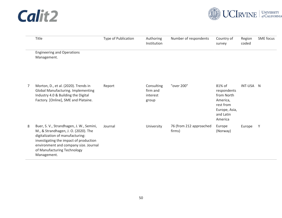![](_page_58_Picture_1.jpeg)

|   | Title                                                                                                                                                                                                                                                 | Type of Publication | Authoring<br>Institution                    | Number of respondents             | Country of<br>survey                                                                                  | Region<br>coded | <b>SME</b> focus |
|---|-------------------------------------------------------------------------------------------------------------------------------------------------------------------------------------------------------------------------------------------------------|---------------------|---------------------------------------------|-----------------------------------|-------------------------------------------------------------------------------------------------------|-----------------|------------------|
|   | <b>Engineering and Operations</b><br>Management.                                                                                                                                                                                                      |                     |                                             |                                   |                                                                                                       |                 |                  |
| 7 | Morton, D., et al. (2020). Trends in<br><b>Global Manufacturing. Implementing</b><br>Industry 4.0 & Building the Digital<br>Factory. [Online], SME and Plataine.                                                                                      | Report              | Consulting<br>firm and<br>interest<br>group | "over 200"                        | 81% of<br>respondents<br>from North<br>America,<br>rest from<br>Europe, Asia,<br>and Latin<br>America | INT-USA N       |                  |
| 8 | Buer, S. V., Strandhagen, J. W., Semini,<br>M., & Strandhagen, J. O. (2020). The<br>digitalization of manufacturing:<br>investigating the impact of production<br>environment and company size. Journal<br>of Manufacturing Technology<br>Management. | Journal             | University                                  | 76 (from 212 approached<br>firms) | Europe<br>(Norway)                                                                                    | Europe          | Y                |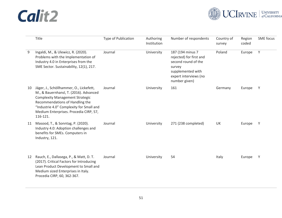![](_page_59_Picture_1.jpeg)

|    | Title                                                                                                                                                                                                                                                            | <b>Type of Publication</b> | Authoring<br>Institution | Number of respondents                                                                                                                       | Country of<br>survey | Region<br>coded | <b>SME</b> focus |
|----|------------------------------------------------------------------------------------------------------------------------------------------------------------------------------------------------------------------------------------------------------------------|----------------------------|--------------------------|---------------------------------------------------------------------------------------------------------------------------------------------|----------------------|-----------------|------------------|
| 9  | Ingaldi, M., & Ulewicz, R. (2020).<br>Problems with the Implementation of<br>Industry 4.0 in Enterprises from the<br>SME Sector. Sustainability, 12(1), 217.                                                                                                     | Journal                    | University               | 187 (194 minus 7<br>rejected) for first and<br>second round of the<br>survey<br>supplemented with<br>expert interviews (no<br>number given) | Poland               | Europe          | Y                |
| 10 | Jäger, J., Schöllhammer, O., Lickefett,<br>M., & Bauernhansl, T. (2016). Advanced<br><b>Complexity Management Strategic</b><br>Recommendations of Handling the<br>"Industrie 4.0" Complexity for Small and<br>Medium Enterprises. Procedia CIRP, 57,<br>116-121. | Journal                    | University               | 161                                                                                                                                         | Germany              | Europe          | Y                |
| 11 | Masood, T., & Sonntag, P. (2020).<br>Industry 4.0: Adoption challenges and<br>benefits for SMEs. Computers in<br>Industry, 121.                                                                                                                                  | Journal                    | University               | 271 (238 completed)                                                                                                                         | UK                   | Europe          | Y                |
| 12 | Rauch, E., Dallasega, P., & Matt, D. T.<br>(2017). Critical Factors for Introducing<br>Lean Product Development to Small and<br>Medium sized Enterprises in Italy.<br>Procedia CIRP, 60, 362-367.                                                                | Journal                    | University               | 54                                                                                                                                          | Italy                | Europe          | Y                |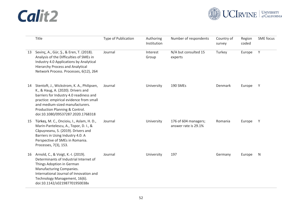![](_page_60_Picture_1.jpeg)

|    | Title                                                                                                                                                                                                                                                                            | <b>Type of Publication</b> | Authoring<br>Institution | Number of respondents                        | Country of<br>survey | Region<br>coded | <b>SME</b> focus |
|----|----------------------------------------------------------------------------------------------------------------------------------------------------------------------------------------------------------------------------------------------------------------------------------|----------------------------|--------------------------|----------------------------------------------|----------------------|-----------------|------------------|
| 13 | Sevinç, A., Gür, Ş., & Eren, T. (2018).<br>Analysis of the Difficulties of SMEs in<br>Industry 4.0 Applications by Analytical<br><b>Hierarchy Process and Analytical</b><br>Network Process. Processes, 6(12), 264                                                               | Journal                    | Interest<br>Group        | N/A but consulted 15<br>experts              | Turkey               | Europe          | Y                |
| 14 | Stentoft, J., Wickstrom, K. A., Philipsen,<br>K., & Haug, A. (2020). Drivers and<br>barriers for Industry 4.0 readiness and<br>practice: empirical evidence from small<br>and medium-sized manufacturers.<br>Production Planning & Control.<br>doi:10.1080/09537287.2020.1768318 | Journal                    | University               | 190 SMEs                                     | Denmark              | Europe          | Y                |
| 15 | Türkeş, M. C., Oncioiu, I., Aslam, H. D.,<br>Marin-Pantelescu, A., Topor, D. I., &<br>Căpușneanu, S. (2019). Drivers and<br>Barriers in Using Industry 4.0: A<br>Perspective of SMEs in Romania.<br>Processes, 7(3), 153.                                                        | Journal                    | University               | 176 of 604 managers;<br>answer rate is 29.1% | Romania              | Europe          | Y                |
| 16 | Arnold, C., & Voigt, K.-I. (2019).<br>Determinants of Industrial Internet of<br>Things Adoption in German<br>Manufacturing Companies.<br>International Journal of Innovation and<br>Technology Management, 16(6).<br>doi:10.1142/s021987701950038x                               | Journal                    | University               | 197                                          | Germany              | Europe          | N                |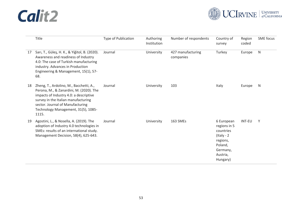![](_page_61_Picture_1.jpeg)

|    | Title                                                                                                                                                                                                                                                   | <b>Type of Publication</b> | Authoring<br>Institution | Number of respondents          | Country of<br>survey                                                                                                | Region<br>coded | <b>SME</b> focus |
|----|---------------------------------------------------------------------------------------------------------------------------------------------------------------------------------------------------------------------------------------------------------|----------------------------|--------------------------|--------------------------------|---------------------------------------------------------------------------------------------------------------------|-----------------|------------------|
| 17 | Sarı, T., Güleş, H. K., & Yiğitol, B. (2020).<br>Awareness and readiness of Industry<br>4.0: The case of Turkish manufacturing<br>industry. Advances in Production<br>Engineering & Management, 15(1), 57-<br>68.                                       | Journal                    | University               | 427 manufacturing<br>companies | Turkey                                                                                                              | Europe          | $\mathsf{N}$     |
| 18 | Zheng, T., Ardolino, M., Bacchetti, A.,<br>Perona, M., & Zanardini, M. (2020). The<br>impacts of Industry 4.0: a descriptive<br>survey in the Italian manufacturing<br>sector. Journal of Manufacturing<br>Technology Management, 31(5), 1085-<br>1115. | Journal                    | University               | 103                            | Italy                                                                                                               | Europe          | <b>N</b>         |
| 19 | Agostini, L., & Nosella, A. (2019). The<br>adoption of Industry 4.0 technologies in<br>SMEs: results of an international study.<br>Management Decision, 58(4), 625-643.                                                                                 | Journal                    | University               | 163 SMEs                       | 6 European<br>regions in 5<br>countries<br>$($ Italy - 2<br>regions,<br>Poland,<br>Germany,<br>Austria,<br>Hungary) | <b>INT-EU</b>   | Y                |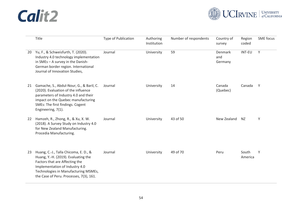![](_page_62_Picture_1.jpeg)

|    | Title                                                                                                                                                                                                                               | <b>Type of Publication</b> | Authoring<br>Institution | Number of respondents | Country of<br>survey      | Region<br>coded  | <b>SME</b> focus |
|----|-------------------------------------------------------------------------------------------------------------------------------------------------------------------------------------------------------------------------------------|----------------------------|--------------------------|-----------------------|---------------------------|------------------|------------------|
| 20 | Yu, F., & Schweisfurth, T. (2020).<br>Industry 4.0 technology implementation<br>in SMEs - A survey in the Danish-<br>German border region. International<br>Journal of Innovation Studies,                                          | Journal                    | University               | 59                    | Denmark<br>and<br>Germany | INT-EU           | Y                |
| 21 | Gamache, S., Abdul-Nour, G., & Baril, C.<br>(2020). Evaluation of the influence<br>parameters of Industry 4.0 and their<br>impact on the Quebec manufacturing<br>SMEs: The first findings. Cogent<br>Engineering, 7(1).             | Journal                    | University               | 14                    | Canada<br>(Quebec)        | Canada           | Y                |
| 22 | Hamzeh, R., Zhong, R., & Xu, X. W.<br>(2018). A Survey Study on Industry 4.0<br>for New Zealand Manufacturing.<br>Procedia Manufacturing.                                                                                           | Journal                    | University               | 43 of 50              | New Zealand               | NZ.              | Υ                |
| 23 | Huang, C.-J., Talla Chicoma, E. D., &<br>Huang, Y.-H. (2019). Evaluating the<br>Factors that are Affecting the<br>Implementation of Industry 4.0<br>Technologies in Manufacturing MSMEs,<br>the Case of Peru. Processes, 7(3), 161. | Journal                    | University               | 49 of 70              | Peru                      | South<br>America | Y                |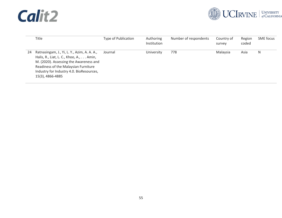![](_page_63_Picture_1.jpeg)

|    | Title                                                                                                                                                                                                                                     | Type of Publication | Authoring<br>Institution | Number of respondents | Country of<br>survey | Region<br>coded | SME focus |
|----|-------------------------------------------------------------------------------------------------------------------------------------------------------------------------------------------------------------------------------------------|---------------------|--------------------------|-----------------------|----------------------|-----------------|-----------|
| 24 | Ratnasingam, J., Yi, L. Y., Azim, A. A. A.,<br>Halis, R., Liat, L. C., Khoo, A.,  Amin,<br>M. (2020). Assessing the Awareness and<br>Readiness of the Malaysian Furniture<br>Industry for Industry 4.0. BioResources,<br>15(3), 4866-4885 | Journal             | University               | 778                   | Malaysia             | Asia            | N         |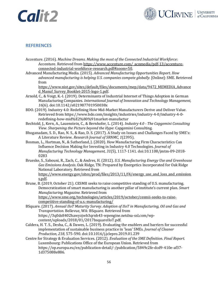![](_page_64_Picture_0.jpeg)

![](_page_64_Picture_1.jpeg)

### <span id="page-64-0"></span>**REFERENCES**

- Accenture. (2016). *Machine Dreams. Making the most of the Connected Industrial Workforce*: Accenture. Retrieved from https://www.accenture.com/\_acnmedia/pdf-13/accentureconnected-industrial-workforce-research.pdf#zoom=50.
- Advanced Manufacturing Media. (2015). *Advanced Manufacturing Opportunities Report. How advanced manufacturing is helping U.S. companies compete globally*. [Online]: SME. Retrieved from

https://www.nist.gov/sites/default/files/documents/mep/data/9472\_MEMEDIA\_Advance d Manuf Survey Booklet-2015-logo-1.pdf.

- Arnold, C., & Voigt, K.-I. (2019). Determinants of Industrial Internet of Things Adoption in German Manufacturing Companies. *International Journal of Innovation and Technology Management, 16*(6). doi:10.1142/s021987701950038x
- BDO. (2019). Industry 4.0: Redefining How Mid-Market Manufacturers Derive and Deliver Value. Retrieved from https://www.bdo.com/insights/industries/industry-4-0/industry-4-0 redefining-how-mid%E2%80%91market-manufactur
- Bechtold, J., Kern, A., Lauenstein, C., & Bernhofer, L. (2014). *Industry 4.0 - The Capgemini Consulting View. Sharpening the Picture beyond the Hype*: Capgemini Consulting.
- Bhoganadam, S. D., Rao, N. S., & Rao, D. S. (2017). A Study on Issues and Challanges Faced by SME's: A Literature Review. *Research Journal of SRNMC, 1*(2395).
- Bosman, L., Hartman, N., & Sutherland, J. (2020). How Manufacturing Firm Characteristics Can Influence Decision Making for Investing in Industry 4.0 Technologies. *Journal of Manufacturing Technology Management, 31*(5), 1117-1141. doi:10.1108/jmtm-09-2018- 0283
- Brueske, S., Sabouni, R., Zach, C., & Andres, H. (2012). *U.S. Manufacturing Energy Use and Greenhouse Gas Emissions Analysis*. Oak Ridge, TN: Prepared by Energetics Incorporated for Oak Ridge National Laboratory. Retrieved from https://www.energy.gov/sites/prod/files/2013/11/f4/energy use and loss and emission s.pdf.

Brune, B. (2019, October 21). CESMII seeks to raise competitive standing of U.S. manufacturing. Democratization of smart manufacturing is another pillar of institute's current plan. *Smart Manufacturing Magazine.* Retrieved from https://www.sme.org/technologies/articles/2019/october/cesmii-seeks-to-raisecompetitive-standing-of-u.s.-manufacturing/

BSquare. (2017). *Annual IIoT Maturity Survey. Adoption of IIoT in Manufacturing, Oil and Gas and Transportation*. Bellevue, WA: BSquare. Retrieved from https://3q0ds8402hawyzjwb3qrnh43-wpengine.netdna-ssl.com/wpcontent/uploads/2018/01/2017bsquareIIoT.pdf.

- Caldera, H. T. S., Desha, C., & Dawes, L. (2019). Evaluating the enablers and barriers for successful implementation of sustainable business practice in 'lean' SMEs. *Journal of Cleaner Production, 218*, 575-590. doi:10.1016/j.jclepro.2019.01.239
- Centre for Strategy & Evaluation Services. (2012). *Evaluation of the SME Definition. Final Report*. Luxembourg: Publications Office of the European Union. Retrieved from https://op.europa.eu/en/publication-detail/-/publication/5849c2fe-dcd9-410e-af37- 1d375088e886.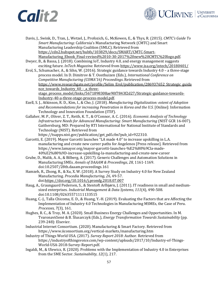![](_page_65_Picture_1.jpeg)

- Davis, J., Swink, D., Tran, J., Wetzel, J., Profozich, G., McKewen, E., & Thys, R. (2015). *CMTC's Guide To Smart Manufacturing*: California's Manufacturing Network (CMTC) and Smart Manufacturing Leadership Coalition (SMLC). Retrieved from https://cdn2.hubspot.net/hubfs/103829/docs/SMART/CMTC-Smart-Manufacturing\_Ebook\_Final-revised%2010-30-2017%20new%20CMTC%20logo.pdf.
- Dwyer, B., & Bassa, J. (2018). Combining IoT, Industry 4.0, and energy management suggests exciting future. *InTech Magazine.* Retrieved from https://www.isa.org/intech/20180401/
- Erol, S., Schumacher, A., & Sihn, W. (2016). Strategic guidance towards Industry 4.0 a three-stage process model. In D. Dimitrov & T. Oosthuizen (Eds.), *International Conference on Competitive Manufacturing (COMA'16) Proceedings*. Retrieved from https://www.researchgate.net/profile/Selim\_Erol/publication/286937652\_Strategic\_guida nce towards Industry 40 - a threestage\_process\_model/links/5671898308ae90f7843f2d27/Strategic-guidance-towards-Industry-40-a-three-stage-process-model.pdf.
- Ezell, S. J., Atkinson, R. D., Kim, I., & Cho, J. (2018). *Manufacturing Digitalization: extent of Adoption and Recommendations for increasing Penetration in Korea and the U.S.* [Online]: Information Technology and Innovation Foundation (ITIF).
- Gallaher, M. P., Oliver, Z. T., Reith, K. T., & O'Connor, A. C. (2016). *Economic Analysis of Technology Infrastructure Needs for Advanced Manufacturing: Smart Manufacturing* (NIST GCR 16-007). Gaithersburg, MD: Prepared by RTI International for National Institute of Standards and Technology (NIST). Retrieved from

https://tsapps.nist.gov/publication/get\_pdf.cfm?pub\_id=922310.

- Garcetti, E. (2019). Mayor Garcetti launches "LA made 4.0" to increase upskilling in L.A. manufacturing and create new career paths for Angelenos [Press release]. Retrieved from https://www.lamayor.org/mayor-garcetti-launches-%E2%80%9Cla-made-40%E2%80%9D-increase-upskilling-la-manufacturing-and-create-new-career
- Grube, D., Malik, A. A., & Bilberg, A. (2017). Generic Challenges and Automation Solutions in Manufacturing SMEs. *Annals of DAAAM & Proceedings, 28*, 1161-1169. doi:10.2507/28th.daaam.proceedings.161
- Hamzeh, R., Zhong, R., & Xu, X. W. (2018). A Survey Study on Industry 4.0 for New Zealand Manufacturing. *Procedia Manufacturing, 26*, 49-57. doi:https://doi.org/10.1016/j.promfg.2018.07.007
- Haug, A., Graungaard Pedersen, S., & Stentoft Arlbjørn, J. (2011). IT readiness in small and medium‐ sized enterprises. *Industrial Management & Data Systems, 111*(4), 490-508. doi:10.1108/02635571111133515
- Huang, C.-J., Talla Chicoma, E. D., & Huang, Y.-H. (2019). Evaluating the Factors that are Affecting the Implementation of Industry 4.0 Technologies in Manufacturing MSMEs, the Case of Peru. *Processes, 7*(3), 161.
- Hughes, R. C., & Troy, M. A. (2020). Small Business Energy Challenges and Opportunities. In M. Tvaronavičienė & B. Ślusarczyk (Eds.), *Energy Transformation Towards Sustainability* (pp. 239-248): Elsevier.
- Industrial Internet Consortium. (2020). Manufacturing & Smart Factory. Retrieved from https://www.iiconsortium.org/vertical-markets/manufacturing.htm
- Industry of Things World USA. (2017). *Survey Report 2018*: Author. Retrieved from https://industryofthingsvoice.com/wp-content/uploads/2017/10/Industry-of-Things-World-USA-2018-Survey-Report.pdf.
- Ingaldi, M., & Ulewicz, R. (2020). Problems with the Implementation of Industry 4.0 in Enterprises from the SME Sector. *Sustainability, 12*(1), 217.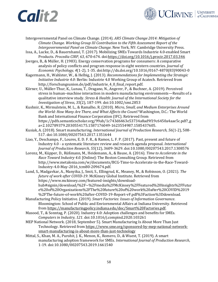![](_page_66_Picture_1.jpeg)

- Intergovernmental Panel on Climate Change. (2014). *AR5 Climate Change 2014: Mitigation of Climate Change. Working Group III Contribution to the Fifth Assessment Report of the Intergovernmental Panel on Climate Change*. New York, NY: Cambridge University Press.
- Issa, A., Lucke, D., & Bauernhansl, T. (2017). Mobilizing SMEs Towards Industrie 4.0-enabled Smart Products. *Procedia CIRP, 63*, 670-674. doi:https://doi.org/10.1016/j.procir.2017.03.346
- Joerges, B., & Müller, H. (1983). Energy conservation programs for consumers: A comparative analysis of policy conflicts and program response in eight western countries. *Journal of Economic Psychology, 4*(1-2), 1-35. doi:http://dx.doi.org/10.1016/0167-4870(83)90043-0
- Kagermann, H., Wahlster, W., & Helbig, J. (2013). *Recommendations for Implementing the Strategic Initiative Industrie 4.0*: Berlin: Industrie 4.0 Working Group of Acatech. Retrieved from http://forschungsunion.de/pdf/industrie\_4\_0\_final\_report.pdf.
- Körner, U., Müller‐Thur, K., Lunau, T., Dragano, N., Angerer, P., & Buchner, A. (2019). Perceived stress in human–machine interaction in modern manufacturing environments—Results of a qualitative interview study. *Stress & Health: Journal of the International Society for the Investigation of Stress, 35*(2), 187-199. doi:10.1002/smi.2853
- Kushnir, K., Mirmulstein, M. L., & Ramalho, R. (2010). *Micro, Small, and Medium Enterprises Around the World: How Many Are There, and What Affects the Count?* Washington, D.C.: The World Bank and International Finance Corporation (IFC). Retrieved from https://pdfs.semanticscholar.org/99ab/1c743d6463e53734a8ad9f19c6450a4aae5c.pdf?\_g a=2.102789379.2030554175.1587176049-1623554987.1585437605.
- Kusiak, A. (2018). Smart manufacturing. *International Journal of Production Research, 56*(1-2), 508- 517. doi:10.1080/00207543.2017.1351644
- Liao, Y., Deschamps, F., Loures, E. D. F. R., & Ramos, L. F. P. (2017). Past, present and future of Industry 4.0 - a systematic literature review and research agenda proposal. *International Journal of Production Research, 55*(12), 3609-3629. doi:10.1080/00207543.2017.1308576
- Lorenz, M., Küpper, D., Rüßmann, M., Heidemann, A., & Bause, A. (2016). *Time to Accelerate in the Race Toward Industry 4.0*. [Online]: The Boston Consulting Group. Retrieved from http://www.metalonia.com/w/documents/BCG-Time-to-Accelerate-in-the-Race-Toward-Industry-4.0-May-2016\_tcm80-209674.pdf.
- Lund, S., Madgavkar, A., Manyika, J., Smit, S., Ellingrud, K., Meaney, M., & Robinson, O. (2021). *The future of work after COVID‑19*: McKinsey Global Institute. Retrieved from https://www.mckinsey.com/featured-insights/downloadhub#signin/download/%2F~%2Fmedia%2FMcKinsey%2FFeatured%20Insights%2FFutur e%20of%20Organizations%2FThe%20future%20of%20work%20after%20COVID%2019 %2FThe-future-of-work%20after-COVID-19-Report-vF.pdf%3Faction%3Ddownload.
- Manufacturing Policy Initiative. (2019). *Smart Factories: Issues of Information Governance*. Bloomington: School of Public and Enviornmental Affairs at Indiana University. Retrieved from https://manufacturingpolicy.indiana.edu/doc/Smart%20Factories.pdf.
- Masood, T., & Sonntag, P. (2020). Industry 4.0: Adoption challenges and benefits for SMEs. *Computers in Industry, 121*. doi:10.1016/j.compind.2020.103261
- MEP National Network. (2018, September 5). Smart Manufacturing Is About More Than Just Technology. Retrieved from https://www.sme.org/sponsored-by-mep-national-networksmart-manufacturing-is-about-more-than-just-technology
- Mittal, S., Khan, M. A., Purohit, J. K., Menon, K., Romero, D., & Wuest, T. (2019). A smart manufacturing adoption framework for SMEs. *International Journal of Production Research*, 1-19. doi:10.1080/00207543.2019.1661540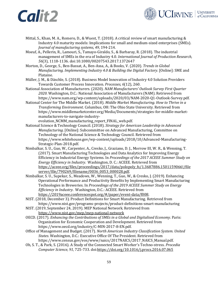![](_page_67_Picture_1.jpeg)

- Mittal, S., Khan, M. A., Romero, D., & Wuest, T. (2018). A critical review of smart manufacturing & Industry 4.0 maturity models: Implications for small and medium-sized enterprises (SMEs). *Journal of manufacturing systems, 49*, 194-214.
- Moeuf, A., Pellerin, R., Lamouri, S., Tamayo-Giraldo, S., & Barbaray, R. (2018). The industrial management of SMEs in the era of Industry 4.0. *International Journal of Production Research, 56*(3), 1118-1136. doi:10.1080/00207543.2017.1372647
- Morton, D., George, S., Ben-Bassat, A., Ben-Assa, A., & Books, V. (2020). *Trends in Global Manufacturing. Implementing Industry 4.0 & Building the Digital Factory*. [Online]: SME and Plataine.
- Müller, J. M., & Däschle, S. (2018). Business Model Innovation of Industry 4.0 Solution Providers Towards Customer Process Innovation. *Processes, 6*(12), 260.
- National Association of Manufacturers. (2020). *NAM Manufacturers' Outlook Survey First Quarter 2020*. Washington, D.C.: National Association of Manufacturers (NAM). Retrieved from https://www.nam.org/wp-content/uploads/2020/03/NAM-2020-Q1-Outlook-Survey.pdf.
- National Center for The Middle Market. (2018). *Middle Market Manufacturing. How to Thrive in a Transforming Environment*. Columbus, OH: The Ohio State University. Retrieved from https://www.middlemarketcenter.org/Media/Documents/strategies-for-middle-marketmanufacturers-to-navigate-industry-

evolution\_NCMM\_manufacturing\_report\_FINAL\_web.pdf.

- National Science & Technology Council. (2018). *Strategy for American Leadership in Advanced Manufacturing*. [Online]: Subcommittee on Advanced Manufacturing, Committee on Technology of the National Science & Technology Council. Retrieved from https://www.whitehouse.gov/wp-content/uploads/2018/10/Advanced-Manufacturing-Strategic-Plan-2018.pdf.
- Nimbalkar, S. U., Guo, W., Carpenter, A., Cresko, J., Graziano, D. J., Morrow III, W. R., & Wenning, T. (2017). Smart Manufacturing Technologies and Data Analytics for Improving Energy Efficiency in Industrial Energy Systems. In *Proceedings of the 2017 ACEEE Summer Study on Energy Efficiency in Industry*. Washington, D. C.: ACEEE. Retrieved from https://aceee.org/files/proceedings/2017/data/polopoly fs/1.3687886.1501159066!/file server/file/790269/filename/0036\_0053\_000028.pdf.
- Nimbalkar, S. U., Supekar, S., Meadows, W., Wenning, T., Guo, W., & Cresko, J. (2019). Enhancing Operational Performance and Productivity Benefits by Implementing Smart Manufacturing Technologies in Breweries. In *Proceedings of the 2019 ACEEE Summer Study on Energy Efficiency in Industry*. Washington, D.C.: ACEEE. Retrieved from https://2019aceee.conferencespot.org/#/paper/event-data/f008.
- NIST. (2018, December 3). Product Definitions for Smart Manufacturing. Retrieved from https://www.nist.gov/programs-projects/product-definitions-smart-manufacturing
- NIST. (2019, September 24, 2019). MEP National Network. Retrieved from https://www.nist.gov/mep/mep-national-network
- OECD. (2017). *Enhancing the Contributions of SMEs in a Global and Digitalised Economy*. Paris: Organization for Economic Cooperation and Development. Retrieved from https://www.oecd.org/industry/C-MIN-2017-8-EN.pdf.
- Office of Management and Budget. (2017). *North American Industry Classification System. United States*. Washington, D.C.: Executive Office Of The President. Retrieved from https://www.census.gov/eos/www/naics/2017NAICS/2017\_NAICS\_Manual.pdf.
- Oh, S. T., & Park, S. (2016). A Study of the Connected Smart Worker's Techno-stress. *Procedia Computer Science, 91*, 725-733. doi:https://doi.org/10.1016/j.procs.2016.07.065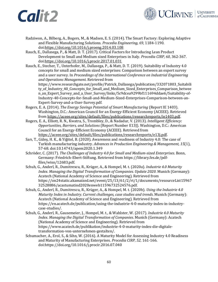![](_page_68_Picture_1.jpeg)

- Radziwon, A., Bilberg, A., Bogers, M., & Madsen, E. S. (2014). The Smart Factory: Exploring Adaptive and Flexible Manufacturing Solutions. *Procedia Engineering, 69*, 1184-1190. doi:https://doi.org/10.1016/j.proeng.2014.03.108
- Rauch, E., Dallasega, P., & Matt, D. T. (2017). Critical Factors for Introducing Lean Product Development to Small and Medium sized Enterprises in Italy. *Procedia CIRP, 60*, 362-367. doi:https://doi.org/10.1016/j.procir.2017.01.031
- Rauch, E., Stecher, T., Unterhofer, M., Dallasega, P., & Matt, D. T. (2019). Suitability of Industry 4.0 concepts for small and medium sized enterprises: Comparison between an expert survey and a user survey. In *Proceedings of the International Conference on Industrial Engineering and Operations Management*. Retrieved from https://www.researchgate.net/profile/Patrick\_Dallasega/publication/332071803\_Suitabili ty\_of\_Industry\_40\_Concepts\_for\_Small\_and\_Medium\_Sized\_Enterprises\_Comparison\_betwee n\_an\_Expert\_Survey\_and\_a\_User\_Survey/links/5c9dcea9299bf111694ddae6/Suitability-of-Industry-40-Concepts-for-Small-and-Medium-Sized-Enterprises-Comparison-between-an-Expert-Survey-and-a-User-Survey.pdf.
- Rogers, E. A. (2014). *The Energy Savings Potential of Smart Manufacturing* (Report IE 1403). Washington, D.C.: American Council for an Energy-Efficient Economy (ACEEE). Retrieved from https://aceee.org/sites/default/files/publications/researchreports/ie1403.pdf.
- Rogers, E. A., Elliott, R. N., Kwatra, S., Trombley, D., & Nadadur, V. (2013). *Intelligent Efficiency: Opportunities, Barriers, and Solutions* (Report Number E13J). Washington, D.C.: American Council for an Energy-Efficient Economy (ACEEE). Retrieved from https://aceee.org/sites/default/files/publications/researchreports/e13j.pdf.
- Sarı, T., Güleş, H. K., & Yiğitol, B. (2020). Awareness and readiness of Industry 4.0: The case of Turkish manufacturing industry. *Advances in Production Engineering & Management, 15*(1), 57-68. doi:10.14743/apem2020.1.349
- Schröder, C. (2017). *The Challenges of Industry 4.0 for Small and Medium-sized Enterprises*. Bonn, Germany: Friedrich-Ebert-Stiftung. Retrieved from https://library.fes.de/pdffiles/wiso/12683.pdf.
- Schuh, G., Anderl, R., Dumitrescu, R., Krüger, A., & Hompel, M. t. (2020a). *Industrie 4.0 Maturity Index. Managing the Digital Transformation of Companies. Update 2020*. Munich (Germany): Acatech (National Academy of Science and Engineering). Retrieved from https://on24static.akamaized.net/event/25/13/61/2/rt/1/documents/resourceList15967 32528886/acastumatind2020enweb11596732524576.pdf.
- Schuh, G., Anderl, R., Dumitrescu, R., Krüger, A., & Hompel, M. t. (2020b). *Using the Industrie 4.0 Maturity Index in Industry. Current challenges, case studies and trends*. Munich (Germany): Acatech (National Academy of Science and Engineering). Retrieved from https://en.acatech.de/publication/using-the-industrie-4-0-maturity-index-in-industrycase-studies/.
- Schuh, G., Anderl, R., Gausemeier, J., Hompel, M. t., & Wahlster, W. (2017). *Industrie 4.0 Maturity Index. Managing the Digital Transformation of Companies*. Munich (Germany): Acatech (National Academy of Science and Engineering). Retrieved from https://www.acatech.de/publikation/industrie-4-0-maturity-index-die-digitaletransformation-von-unternehmen-gestalten/.
- Schumacher, A., Erol, S., & Sihn, W. (2016). A Maturity Model for Assessing Industry 4.0 Readiness and Maturity of Manufacturing Enterprises. *Procedia CIRP, 52*, 161-166. doi:https://doi.org/10.1016/j.procir.2016.07.040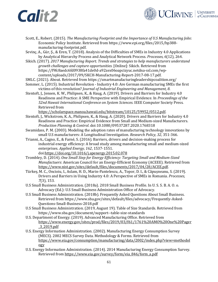![](_page_69_Picture_1.jpeg)

- Scott, E., Robert. (2015). *The Manufacturing Footprint and the Importance of U.S Manufacturing Jobs*: Economic Policy Institute. Retrieved from https://www.epi.org/files/2015/bp388 manufacturing-footprint.pdf.
- Sevinç, A., Gür, Ş., & Eren, T. (2018). Analysis of the Difficulties of SMEs in Industry 4.0 Applications by Analytical Hierarchy Process and Analytical Network Process. *Processes, 6*(12), 264.
- Sikich. (2017). *2017 Manufacturing Report. Trends and strategies to help manufacturers understand growth challenges and capture opportunities.* [Online]: Sikich. Retrieved from https://f9fc8aedc6fd0938fa41de0d-a92zex06oapcizyuc.netdna-ssl.com/wpcontent/uploads/2017/09/SKCH-Manufacturing-Report-2017-08-17.pdf.
- SMLC. (2021). About. Retrieved from https://smartmanufacturingleadershipcoalition.org/
- Sommer, L. (2015). Industrial Revolution Industry 4.0: Are German manufacturing SMEs the first victims of this revolution? *Journal of Industrial Engineering and Management, 8*.
- Stentoft, J., Jensen, K. W., Philipsen, K., & Haug, A. (2019). Drivers and Barriers for Industry 4.0 Readiness and Practice: A SME Perspective with Empirical Evidence. In *Proceedings of the 52nd Hawaii International Conference on System Sciences*. IEEE Computer Society Press. Retrieved from

https://scholarspace.manoa.hawaii.edu/bitstream/10125/59952/0512.pdf.

- Stentoft, J., Wickstrom, K. A., Philipsen, K., & Haug, A. (2020). Drivers and Barriers for Industry 4.0 Readiness and Practice: Empirical Evidence from Small and Medium-sized Manufacturers. *Production Planning & Control*. doi:10.1080/09537287.2020.1768318
- Swamidass, P. M. (2003). Modeling the adoption rates of manufacturing technology innovations by small U.S manufacturers: A Longitudinal Investigation. *Research Policy, 32*, 351-366.
- Trianni, A., Cagno, E., & Farné, S. (2016). Barriers, drivers and decision-making process for industrial energy efficiency: A broad study among manufacturing small and medium-sized enterprises. *Applied Energy, 162*, 1537-1551. doi:https://doi.org/10.1016/j.apenergy.2015.02.078
- Trombley, D. (2014). *One Small Step for Energy Efficiency: Targeting Small and Medium-Sized Manufactuers*: American Council for an Energy-Efficient Economy (ACEEE). Retrieved from https://www.nist.gov/sites/default/files/documents/2017/04/28/ACEE.pdf.
- Türkeș, M. C., Oncioiu, I., Aslam, H. D., Marin-Pantelescu, A., Topor, D. I., & Căpușneanu, S. (2019). Drivers and Barriers in Using Industry 4.0: A Perspective of SMEs in Romania. *Processes, 7*(3), 153.
- U.S Small Business Administration. (2018a). 2018 Small Business Profile. In U. S. S. B. A. O. o. Advocacy (Ed.): U.S Small Business Administration Office of Advocacy.
- U.S Small Business Administration. (2018b). Frequently Asked Questions About Small Business. Retrieved from https://www.sba.gov/sites/default/files/advocacy/Frequently-Asked-Questions-Small-Business-2018.pdf
- U.S Small Business Administration. (2019, August 19). Table of Size Standards. Retrieved from https://www.sba.gov/document/support--table-size-standards
- U.S. Department of Energy. (2019). Advanced Manufacturing Office. Retrieved from https://www.energy.gov/sites/prod/files/2019/03/f61/1761%20AMO%20One%20Pager \_3\_2019.pdf
- U.S. Energy Information Administration. (2002). Manufacturing Energy Consumption Survey (MECS). 2002 MECS Survey Data. Methodology & Forms. Retrieved from https://www.eia.gov/consumption/manufacturing/data/2002/index.php?view=methodol ogy
- U.S. Energy Information Administration. (2014). 2014 Manufacturing Energy Consumption Survey. Retrieved from https://www.eia.gov/survey/form/eia\_846/form\_a.pdf